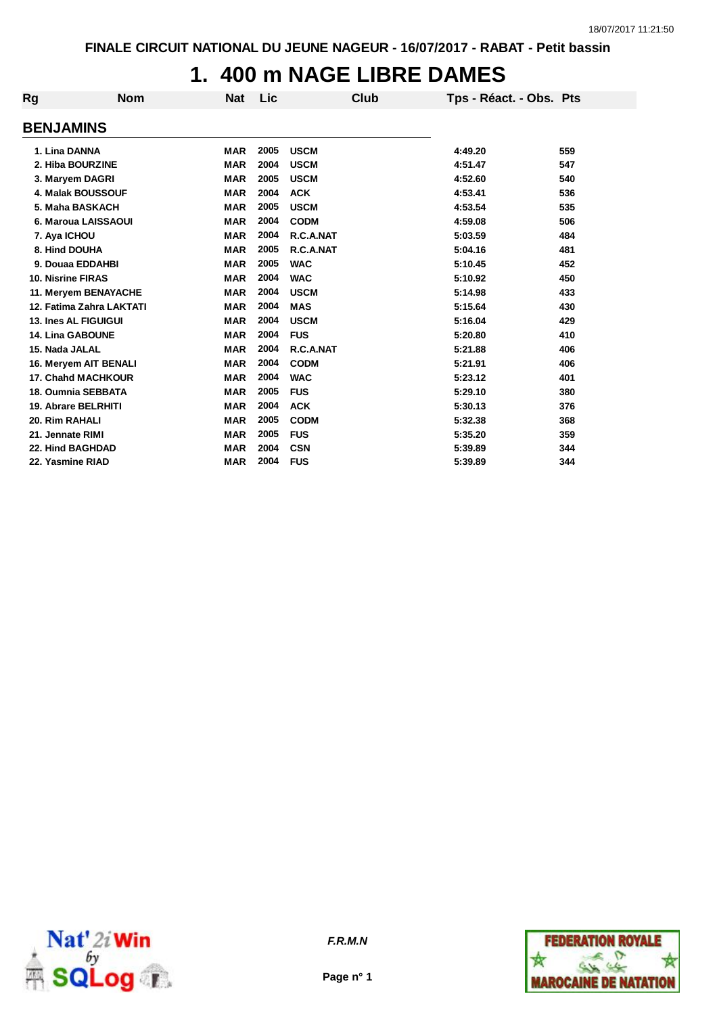# **1. 400 m NAGE LIBRE DAMES**

| Rg                       | <b>Nom</b>                 | <b>Nat</b> | Lic  | Club        |                         |     |
|--------------------------|----------------------------|------------|------|-------------|-------------------------|-----|
|                          |                            |            |      |             | Tps - Réact. - Obs. Pts |     |
| <b>BENJAMINS</b>         |                            |            |      |             |                         |     |
|                          |                            |            |      |             |                         |     |
| 1. Lina DANNA            |                            | <b>MAR</b> | 2005 | <b>USCM</b> | 4:49.20                 | 559 |
|                          | 2. Hiba BOURZINE           | <b>MAR</b> | 2004 | <b>USCM</b> | 4:51.47                 | 547 |
|                          | 3. Maryem DAGRI            | <b>MAR</b> | 2005 | <b>USCM</b> | 4:52.60                 | 540 |
|                          | <b>4. Malak BOUSSOUF</b>   | <b>MAR</b> | 2004 | <b>ACK</b>  | 4:53.41                 | 536 |
|                          | 5. Maha BASKACH            | <b>MAR</b> | 2005 | <b>USCM</b> | 4:53.54                 | 535 |
|                          | 6. Maroua LAISSAOUI        | <b>MAR</b> | 2004 | <b>CODM</b> | 4:59.08                 | 506 |
| 7. Aya ICHOU             |                            | <b>MAR</b> | 2004 | R.C.A.NAT   | 5:03.59                 | 484 |
| 8. Hind DOUHA            |                            | <b>MAR</b> | 2005 | R.C.A.NAT   | 5:04.16                 | 481 |
|                          | 9. Douaa EDDAHBI           | <b>MAR</b> | 2005 | <b>WAC</b>  | 5:10.45                 | 452 |
| <b>10. Nisrine FIRAS</b> |                            | <b>MAR</b> | 2004 | <b>WAC</b>  | 5:10.92                 | 450 |
|                          | 11. Meryem BENAYACHE       | <b>MAR</b> | 2004 | <b>USCM</b> | 5:14.98                 | 433 |
|                          | 12. Fatima Zahra LAKTATI   | <b>MAR</b> | 2004 | <b>MAS</b>  | 5:15.64                 | 430 |
|                          | 13. Ines AL FIGUIGUI       | <b>MAR</b> | 2004 | <b>USCM</b> | 5:16.04                 | 429 |
|                          | <b>14. Lina GABOUNE</b>    | <b>MAR</b> | 2004 | <b>FUS</b>  | 5:20.80                 | 410 |
| 15. Nada JALAL           |                            | <b>MAR</b> | 2004 | R.C.A.NAT   | 5:21.88                 | 406 |
|                          | 16. Meryem AIT BENALI      | <b>MAR</b> | 2004 | <b>CODM</b> | 5:21.91                 | 406 |
|                          | <b>17. Chahd MACHKOUR</b>  | <b>MAR</b> | 2004 | <b>WAC</b>  | 5:23.12                 | 401 |
|                          | 18. Oumnia SEBBATA         | <b>MAR</b> | 2005 | <b>FUS</b>  | 5:29.10                 | 380 |
|                          | <b>19. Abrare BELRHITI</b> | <b>MAR</b> | 2004 | <b>ACK</b>  | 5:30.13                 | 376 |
| 20. Rim RAHALI           |                            | <b>MAR</b> | 2005 | <b>CODM</b> | 5:32.38                 | 368 |
| 21. Jennate RIMI         |                            | <b>MAR</b> | 2005 | <b>FUS</b>  | 5:35.20                 | 359 |
|                          | 22. Hind BAGHDAD           | <b>MAR</b> | 2004 | <b>CSN</b>  | 5:39.89                 | 344 |
| 22. Yasmine RIAD         |                            | <b>MAR</b> | 2004 | <b>FUS</b>  | 5:39.89                 | 344 |



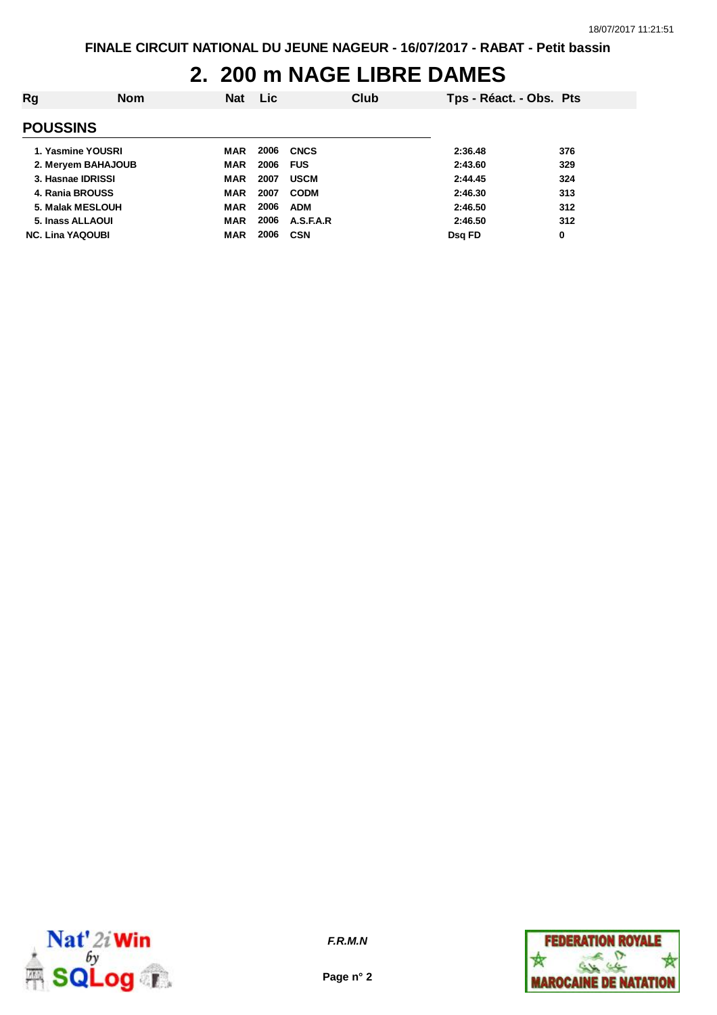## **2. 200 m NAGE LIBRE DAMES**

| Rg                      | <b>Nom</b> | <b>Nat</b> | <b>Lic</b> | Club        | Tps - Réact. - Obs. Pts |     |
|-------------------------|------------|------------|------------|-------------|-------------------------|-----|
| <b>POUSSINS</b>         |            |            |            |             |                         |     |
| 1. Yasmine YOUSRI       |            | MAR        | 2006       | <b>CNCS</b> | 2:36.48                 | 376 |
| 2. Meryem BAHAJOUB      |            | <b>MAR</b> | 2006       | <b>FUS</b>  | 2:43.60                 | 329 |
| 3. Hasnae IDRISSI       |            | <b>MAR</b> | 2007       | <b>USCM</b> | 2:44.45                 | 324 |
| 4. Rania BROUSS         |            | <b>MAR</b> | 2007       | <b>CODM</b> | 2:46.30                 | 313 |
| 5. Malak MESLOUH        |            | <b>MAR</b> | 2006       | <b>ADM</b>  | 2:46.50                 | 312 |
| 5. Inass ALLAOUI        |            | <b>MAR</b> | 2006       | A.S.F.A.R   | 2:46.50                 | 312 |
| <b>NC. Lina YAQOUBI</b> |            | <b>MAR</b> | 2006       | <b>CSN</b>  | Dsg FD                  | 0   |



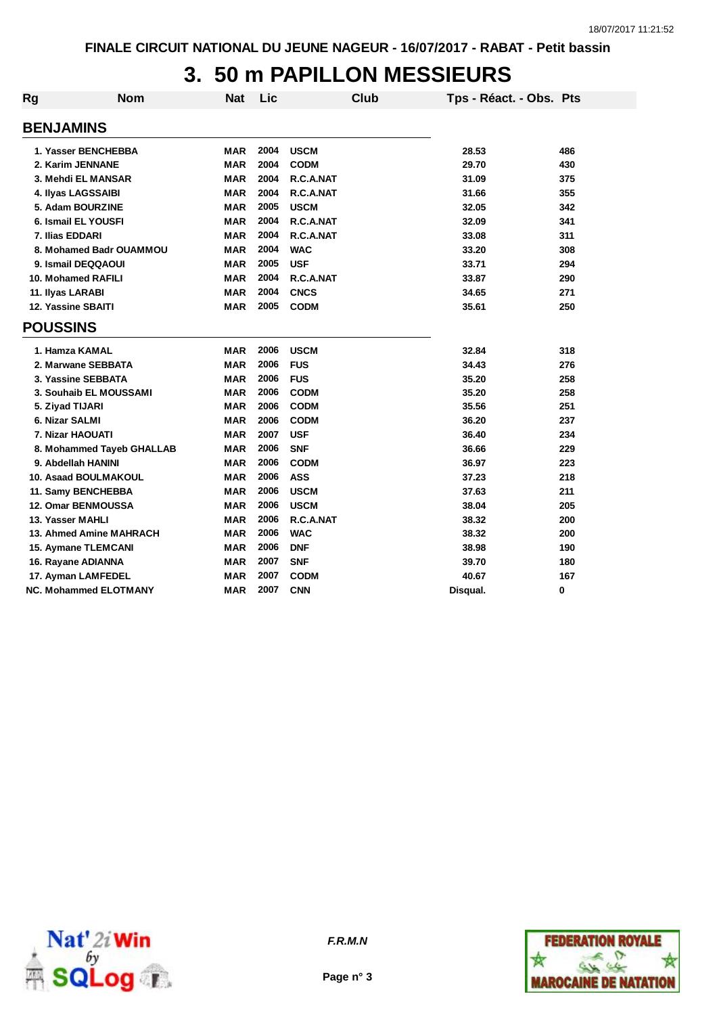# **3. 50 m PAPILLON MESSIEURS**

| Rg | <b>Nom</b>                   | <b>Nat</b> | Lic  | <b>Club</b> | Tps - Réact. - Obs. Pts |     |
|----|------------------------------|------------|------|-------------|-------------------------|-----|
|    | <b>BENJAMINS</b>             |            |      |             |                         |     |
|    | 1. Yasser BENCHEBBA          | <b>MAR</b> | 2004 | <b>USCM</b> | 28.53                   | 486 |
|    | 2. Karim JENNANE             | <b>MAR</b> | 2004 | <b>CODM</b> | 29.70                   | 430 |
|    | 3. Mehdi EL MANSAR           | <b>MAR</b> | 2004 | R.C.A.NAT   | 31.09                   | 375 |
|    | 4. Ilyas LAGSSAIBI           | <b>MAR</b> | 2004 | R.C.A.NAT   | 31.66                   | 355 |
|    | 5. Adam BOURZINE             | <b>MAR</b> | 2005 | <b>USCM</b> | 32.05                   | 342 |
|    | 6. Ismail EL YOUSFI          | <b>MAR</b> | 2004 | R.C.A.NAT   | 32.09                   | 341 |
|    | 7. Ilias EDDARI              | <b>MAR</b> | 2004 | R.C.A.NAT   | 33.08                   | 311 |
|    | 8. Mohamed Badr OUAMMOU      | <b>MAR</b> | 2004 | <b>WAC</b>  | 33.20                   | 308 |
|    | 9. Ismail DEQQAOUI           | <b>MAR</b> | 2005 | <b>USF</b>  | 33.71                   | 294 |
|    | 10. Mohamed RAFILI           | <b>MAR</b> | 2004 | R.C.A.NAT   | 33.87                   | 290 |
|    | 11. Ilyas LARABI             | <b>MAR</b> | 2004 | <b>CNCS</b> | 34.65                   | 271 |
|    | 12. Yassine SBAITI           | <b>MAR</b> | 2005 | <b>CODM</b> | 35.61                   | 250 |
|    | <b>POUSSINS</b>              |            |      |             |                         |     |
|    | 1. Hamza KAMAL               | <b>MAR</b> | 2006 | <b>USCM</b> | 32.84                   | 318 |
|    | 2. Marwane SEBBATA           | <b>MAR</b> | 2006 | <b>FUS</b>  | 34.43                   | 276 |
|    | 3. Yassine SEBBATA           | <b>MAR</b> | 2006 | <b>FUS</b>  | 35.20                   | 258 |
|    | 3. Souhaib EL MOUSSAMI       | <b>MAR</b> | 2006 | <b>CODM</b> | 35.20                   | 258 |
|    | 5. Ziyad TIJARI              | <b>MAR</b> | 2006 | <b>CODM</b> | 35.56                   | 251 |
|    | 6. Nizar SALMI               | <b>MAR</b> | 2006 | <b>CODM</b> | 36.20                   | 237 |
|    | 7. Nizar HAOUATI             | <b>MAR</b> | 2007 | <b>USF</b>  | 36.40                   | 234 |
|    | 8. Mohammed Tayeb GHALLAB    | <b>MAR</b> | 2006 | <b>SNF</b>  | 36.66                   | 229 |
|    | 9. Abdellah HANINI           | <b>MAR</b> | 2006 | <b>CODM</b> | 36.97                   | 223 |
|    | 10. Asaad BOULMAKOUL         | <b>MAR</b> | 2006 | <b>ASS</b>  | 37.23                   | 218 |
|    | 11. Samy BENCHEBBA           | <b>MAR</b> | 2006 | <b>USCM</b> | 37.63                   | 211 |
|    | 12. Omar BENMOUSSA           | <b>MAR</b> | 2006 | <b>USCM</b> | 38.04                   | 205 |
|    | 13. Yasser MAHLI             | <b>MAR</b> | 2006 | R.C.A.NAT   | 38.32                   | 200 |
|    | 13. Ahmed Amine MAHRACH      | <b>MAR</b> | 2006 | <b>WAC</b>  | 38.32                   | 200 |
|    | <b>15. Aymane TLEMCANI</b>   | <b>MAR</b> | 2006 | <b>DNF</b>  | 38.98                   | 190 |
|    | 16. Rayane ADIANNA           | <b>MAR</b> | 2007 | <b>SNF</b>  | 39.70                   | 180 |
|    | 17. Ayman LAMFEDEL           | <b>MAR</b> | 2007 | <b>CODM</b> | 40.67                   | 167 |
|    | <b>NC. Mohammed ELOTMANY</b> | MAR        | 2007 | <b>CNN</b>  | Disqual.                | 0   |



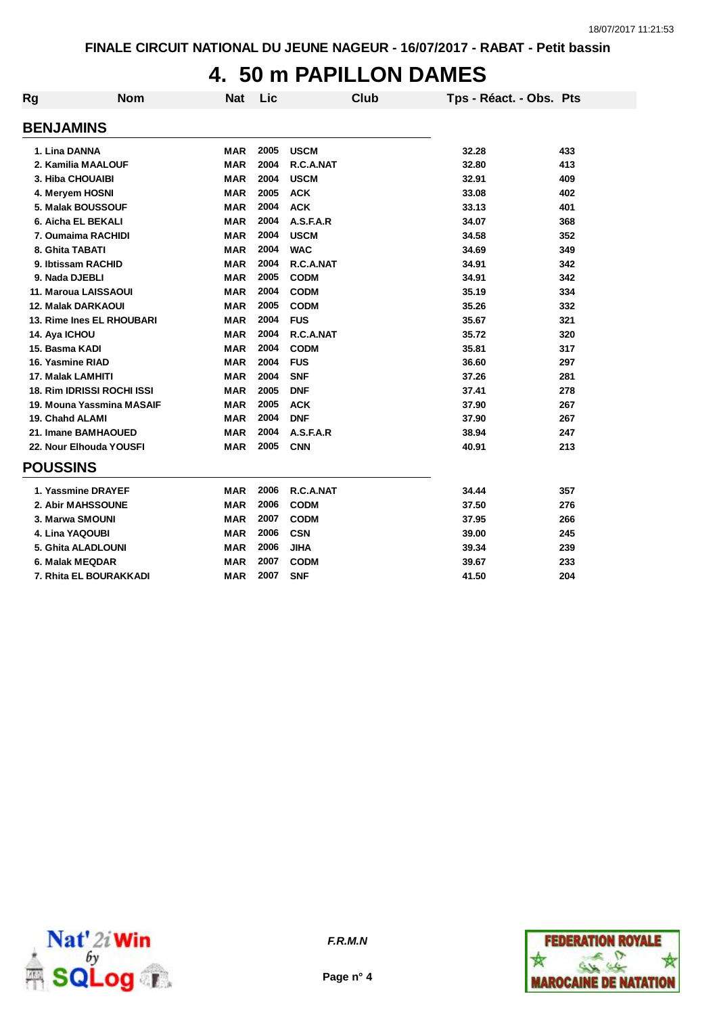## **4. 50 m PAPILLON DAMES**

| Rg | <b>Nom</b>                        | <b>Nat</b> | <b>Lic</b> | <b>Club</b> | Tps - Réact. - Obs. Pts |     |
|----|-----------------------------------|------------|------------|-------------|-------------------------|-----|
|    | <b>BENJAMINS</b>                  |            |            |             |                         |     |
|    |                                   |            |            |             |                         |     |
|    | 1. Lina DANNA                     | <b>MAR</b> | 2005       | <b>USCM</b> | 32.28                   | 433 |
|    | 2. Kamilia MAALOUF                | <b>MAR</b> | 2004       | R.C.A.NAT   | 32.80                   | 413 |
|    | 3. Hiba CHOUAIBI                  | <b>MAR</b> | 2004       | <b>USCM</b> | 32.91                   | 409 |
|    | 4. Meryem HOSNI                   | <b>MAR</b> | 2005       | <b>ACK</b>  | 33.08                   | 402 |
|    | 5. Malak BOUSSOUF                 | <b>MAR</b> | 2004       | <b>ACK</b>  | 33.13                   | 401 |
|    | 6. Aicha EL BEKALI                | <b>MAR</b> | 2004       | A.S.F.A.R   | 34.07                   | 368 |
|    | 7. Oumaima RACHIDI                | <b>MAR</b> | 2004       | <b>USCM</b> | 34.58                   | 352 |
|    | 8. Ghita TABATI                   | <b>MAR</b> | 2004       | <b>WAC</b>  | 34.69                   | 349 |
|    | 9. Ibtissam RACHID                | <b>MAR</b> | 2004       | R.C.A.NAT   | 34.91                   | 342 |
|    | 9. Nada DJEBLI                    | <b>MAR</b> | 2005       | <b>CODM</b> | 34.91                   | 342 |
|    | 11. Maroua LAISSAOUI              | <b>MAR</b> | 2004       | <b>CODM</b> | 35.19                   | 334 |
|    | <b>12. Malak DARKAOUI</b>         | <b>MAR</b> | 2005       | <b>CODM</b> | 35.26                   | 332 |
|    | 13. Rime Ines EL RHOUBARI         | <b>MAR</b> | 2004       | <b>FUS</b>  | 35.67                   | 321 |
|    | 14. Aya ICHOU                     | <b>MAR</b> | 2004       | R.C.A.NAT   | 35.72                   | 320 |
|    | 15. Basma KADI                    | <b>MAR</b> | 2004       | <b>CODM</b> | 35.81                   | 317 |
|    | 16. Yasmine RIAD                  | <b>MAR</b> | 2004       | <b>FUS</b>  | 36.60                   | 297 |
|    | 17. Malak LAMHITI                 | <b>MAR</b> | 2004       | <b>SNF</b>  | 37.26                   | 281 |
|    | <b>18. Rim IDRISSI ROCHI ISSI</b> | <b>MAR</b> | 2005       | <b>DNF</b>  | 37.41                   | 278 |
|    | 19. Mouna Yassmina MASAIF         | <b>MAR</b> | 2005       | <b>ACK</b>  | 37.90                   | 267 |
|    | 19. Chahd ALAMI                   | <b>MAR</b> | 2004       | <b>DNF</b>  | 37.90                   | 267 |
|    | 21. Imane BAMHAOUED               | <b>MAR</b> | 2004       | A.S.F.A.R   | 38.94                   | 247 |
|    | 22. Nour Elhouda YOUSFI           | <b>MAR</b> | 2005       | <b>CNN</b>  | 40.91                   | 213 |
|    | <b>POUSSINS</b>                   |            |            |             |                         |     |
|    | 1. Yassmine DRAYEF                | <b>MAR</b> | 2006       | R.C.A.NAT   | 34.44                   | 357 |
|    | 2. Abir MAHSSOUNE                 | <b>MAR</b> | 2006       | <b>CODM</b> | 37.50                   | 276 |
|    | 3. Marwa SMOUNI                   | <b>MAR</b> | 2007       | <b>CODM</b> | 37.95                   | 266 |
|    | 4. Lina YAQOUBI                   | <b>MAR</b> | 2006       | <b>CSN</b>  | 39.00                   | 245 |
|    | 5. Ghita ALADLOUNI                | <b>MAR</b> | 2006       | <b>JIHA</b> | 39.34                   | 239 |
|    | 6. Malak MEQDAR                   | <b>MAR</b> | 2007       | <b>CODM</b> | 39.67                   | 233 |
|    | 7. Rhita EL BOURAKKADI            | <b>MAR</b> | 2007       | <b>SNF</b>  | 41.50                   | 204 |



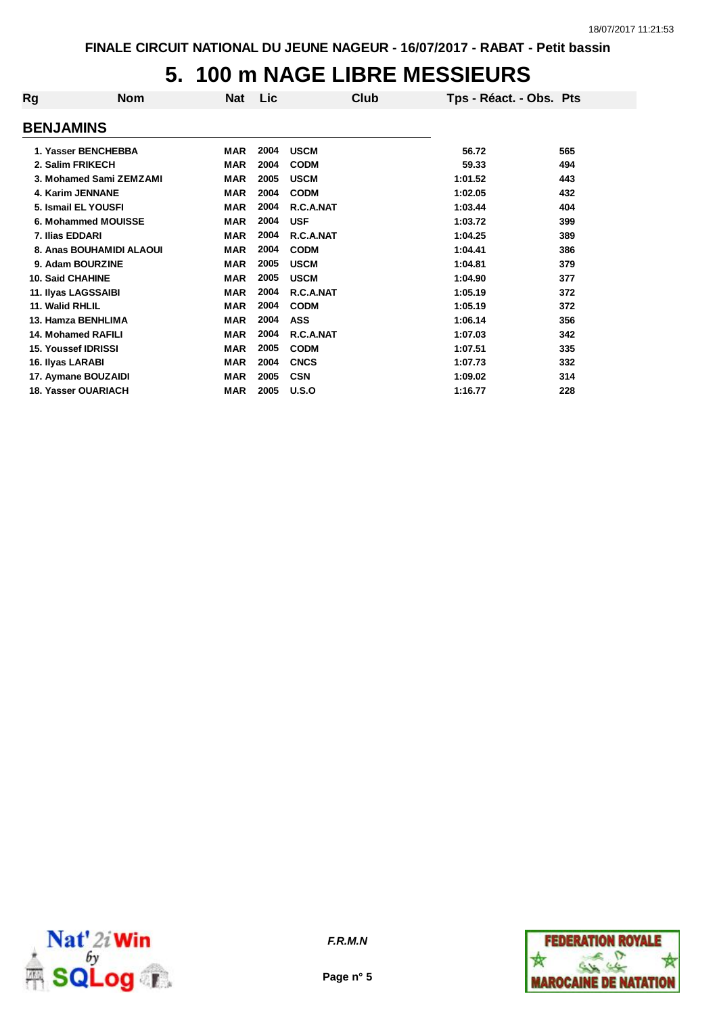# **5. 100 m NAGE LIBRE MESSIEURS**

| Rg                      | <b>Nom</b>                 | <b>Nat</b> | <b>Lic</b> | Club        | Tps - Réact. - Obs. Pts |     |
|-------------------------|----------------------------|------------|------------|-------------|-------------------------|-----|
| <b>BENJAMINS</b>        |                            |            |            |             |                         |     |
|                         | 1. Yasser BENCHEBBA        | MAR        | 2004       | <b>USCM</b> | 56.72                   | 565 |
|                         | 2. Salim FRIKECH           | <b>MAR</b> | 2004       | <b>CODM</b> | 59.33                   | 494 |
|                         | 3. Mohamed Sami ZEMZAMI    | <b>MAR</b> | 2005       | <b>USCM</b> | 1:01.52                 | 443 |
|                         | 4. Karim JENNANE           | <b>MAR</b> | 2004       | <b>CODM</b> | 1:02.05                 | 432 |
|                         | 5. Ismail EL YOUSFI        | <b>MAR</b> | 2004       | R.C.A.NAT   | 1:03.44                 | 404 |
|                         | 6. Mohammed MOUISSE        | <b>MAR</b> | 2004       | <b>USF</b>  | 1:03.72                 | 399 |
| 7. Ilias EDDARI         |                            | <b>MAR</b> | 2004       | R.C.A.NAT   | 1:04.25                 | 389 |
|                         | 8. Anas BOUHAMIDI ALAOUI   | <b>MAR</b> | 2004       | <b>CODM</b> | 1:04.41                 | 386 |
|                         | 9. Adam BOURZINE           | <b>MAR</b> | 2005       | <b>USCM</b> | 1:04.81                 | 379 |
| <b>10. Said CHAHINE</b> |                            | <b>MAR</b> | 2005       | <b>USCM</b> | 1:04.90                 | 377 |
|                         | 11. Ilyas LAGSSAIBI        | <b>MAR</b> | 2004       | R.C.A.NAT   | 1:05.19                 | 372 |
| 11. Walid RHLIL         |                            | <b>MAR</b> | 2004       | <b>CODM</b> | 1:05.19                 | 372 |
|                         | 13. Hamza BENHLIMA         | <b>MAR</b> | 2004       | <b>ASS</b>  | 1:06.14                 | 356 |
|                         | 14. Mohamed RAFILI         | <b>MAR</b> | 2004       | R.C.A.NAT   | 1:07.03                 | 342 |
|                         | <b>15. Youssef IDRISSI</b> | <b>MAR</b> | 2005       | <b>CODM</b> | 1:07.51                 | 335 |
| 16. Ilyas LARABI        |                            | <b>MAR</b> | 2004       | <b>CNCS</b> | 1:07.73                 | 332 |
|                         | 17. Aymane BOUZAIDI        | <b>MAR</b> | 2005       | <b>CSN</b>  | 1:09.02                 | 314 |
|                         | 18. Yasser OUARIACH        | <b>MAR</b> | 2005       | U.S.O       | 1:16.77                 | 228 |



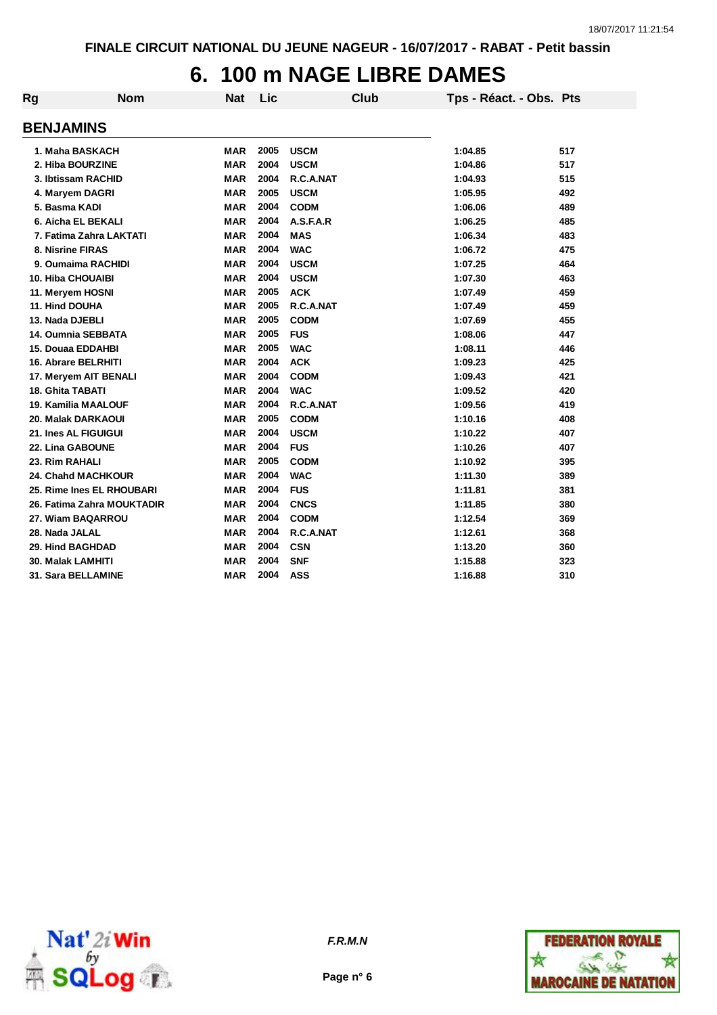# **6. 100 m NAGE LIBRE DAMES**

| Rg                         | <b>Nom</b> | <b>Nat</b> | Lic  | <b>Club</b> | Tps - Réact. - Obs. Pts |     |
|----------------------------|------------|------------|------|-------------|-------------------------|-----|
| <b>BENJAMINS</b>           |            |            |      |             |                         |     |
| 1. Maha BASKACH            |            | <b>MAR</b> | 2005 | <b>USCM</b> | 1:04.85                 | 517 |
| 2. Hiba BOURZINE           |            | <b>MAR</b> | 2004 | <b>USCM</b> | 1:04.86                 | 517 |
| 3. Ibtissam RACHID         |            | <b>MAR</b> | 2004 | R.C.A.NAT   | 1:04.93                 | 515 |
| 4. Maryem DAGRI            |            | <b>MAR</b> | 2005 | <b>USCM</b> | 1:05.95                 | 492 |
| 5. Basma KADI              |            | <b>MAR</b> | 2004 | <b>CODM</b> | 1:06.06                 | 489 |
| 6. Aicha EL BEKALI         |            | <b>MAR</b> | 2004 | A.S.F.A.R   | 1:06.25                 | 485 |
| 7. Fatima Zahra LAKTATI    |            | <b>MAR</b> | 2004 | <b>MAS</b>  | 1:06.34                 | 483 |
| 8. Nisrine FIRAS           |            | <b>MAR</b> | 2004 | <b>WAC</b>  | 1:06.72                 | 475 |
| 9. Oumaima RACHIDI         |            | <b>MAR</b> | 2004 | <b>USCM</b> | 1:07.25                 | 464 |
| <b>10. Hiba CHOUAIBI</b>   |            | <b>MAR</b> | 2004 | <b>USCM</b> | 1:07.30                 | 463 |
| 11. Meryem HOSNI           |            | <b>MAR</b> | 2005 | <b>ACK</b>  | 1:07.49                 | 459 |
| 11. Hind DOUHA             |            | <b>MAR</b> | 2005 | R.C.A.NAT   | 1:07.49                 | 459 |
| 13. Nada DJEBLI            |            | <b>MAR</b> | 2005 | <b>CODM</b> | 1:07.69                 | 455 |
| 14. Oumnia SEBBATA         |            | <b>MAR</b> | 2005 | <b>FUS</b>  | 1:08.06                 | 447 |
| <b>15. Douaa EDDAHBI</b>   |            | <b>MAR</b> | 2005 | <b>WAC</b>  | 1:08.11                 | 446 |
| <b>16. Abrare BELRHITI</b> |            | <b>MAR</b> | 2004 | <b>ACK</b>  | 1:09.23                 | 425 |
| 17. Meryem AIT BENALI      |            | <b>MAR</b> | 2004 | <b>CODM</b> | 1:09.43                 | 421 |
| <b>18. Ghita TABATI</b>    |            | MAR        | 2004 | <b>WAC</b>  | 1:09.52                 | 420 |
| <b>19. Kamilia MAALOUF</b> |            | <b>MAR</b> | 2004 | R.C.A.NAT   | 1:09.56                 | 419 |
| 20. Malak DARKAOUI         |            | <b>MAR</b> | 2005 | <b>CODM</b> | 1:10.16                 | 408 |
| 21. Ines AL FIGUIGUI       |            | <b>MAR</b> | 2004 | <b>USCM</b> | 1:10.22                 | 407 |
| 22. Lina GABOUNE           |            | <b>MAR</b> | 2004 | <b>FUS</b>  | 1:10.26                 | 407 |
| 23. Rim RAHALI             |            | <b>MAR</b> | 2005 | <b>CODM</b> | 1:10.92                 | 395 |
| <b>24. Chahd MACHKOUR</b>  |            | <b>MAR</b> | 2004 | <b>WAC</b>  | 1:11.30                 | 389 |
| 25. Rime Ines EL RHOUBARI  |            | <b>MAR</b> | 2004 | <b>FUS</b>  | 1:11.81                 | 381 |
| 26. Fatima Zahra MOUKTADIR |            | <b>MAR</b> | 2004 | <b>CNCS</b> | 1:11.85                 | 380 |
| 27. Wiam BAQARROU          |            | <b>MAR</b> | 2004 | <b>CODM</b> | 1:12.54                 | 369 |
| 28. Nada JALAL             |            | <b>MAR</b> | 2004 | R.C.A.NAT   | 1:12.61                 | 368 |
| <b>29. Hind BAGHDAD</b>    |            | <b>MAR</b> | 2004 | <b>CSN</b>  | 1:13.20                 | 360 |
| 30. Malak LAMHITI          |            | <b>MAR</b> | 2004 | <b>SNF</b>  | 1:15.88                 | 323 |
| <b>31. Sara BELLAMINE</b>  |            | <b>MAR</b> | 2004 | <b>ASS</b>  | 1:16.88                 | 310 |



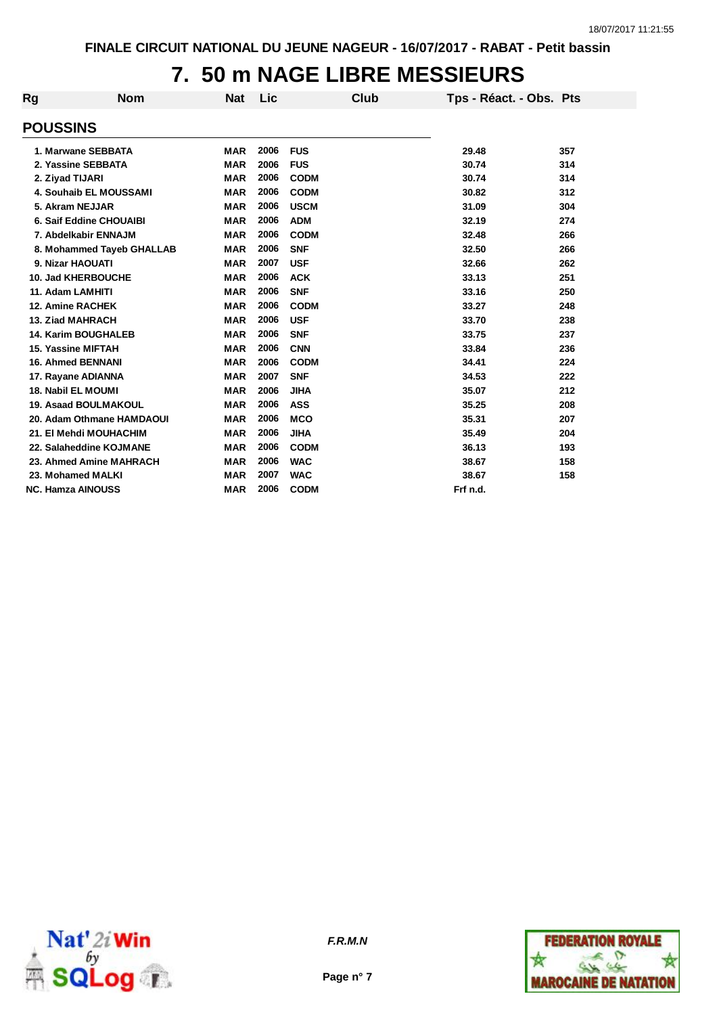## **7. 50 m NAGE LIBRE MESSIEURS**

| <b>Rg</b>                  | <b>Nom</b>                | <b>Nat</b> | Lic  | <b>Club</b> | Tps - Réact. - Obs. Pts |     |
|----------------------------|---------------------------|------------|------|-------------|-------------------------|-----|
| <b>POUSSINS</b>            |                           |            |      |             |                         |     |
| 1. Marwane SEBBATA         |                           | <b>MAR</b> | 2006 | <b>FUS</b>  | 29.48                   | 357 |
| 2. Yassine SEBBATA         |                           | <b>MAR</b> | 2006 | <b>FUS</b>  | 30.74                   | 314 |
| 2. Ziyad TIJARI            |                           | <b>MAR</b> | 2006 | <b>CODM</b> | 30.74                   | 314 |
| 4. Souhaib EL MOUSSAMI     |                           | <b>MAR</b> | 2006 | <b>CODM</b> | 30.82                   | 312 |
| 5. Akram NEJJAR            |                           | <b>MAR</b> | 2006 | <b>USCM</b> | 31.09                   | 304 |
| 6. Saif Eddine CHOUAIBI    |                           | <b>MAR</b> | 2006 | <b>ADM</b>  | 32.19                   | 274 |
| 7. Abdelkabir ENNAJM       |                           | <b>MAR</b> | 2006 | <b>CODM</b> | 32.48                   | 266 |
|                            | 8. Mohammed Tayeb GHALLAB | <b>MAR</b> | 2006 | <b>SNF</b>  | 32.50                   | 266 |
| 9. Nizar HAOUATI           |                           | <b>MAR</b> | 2007 | <b>USF</b>  | 32.66                   | 262 |
| 10. Jad KHERBOUCHE         |                           | <b>MAR</b> | 2006 | <b>ACK</b>  | 33.13                   | 251 |
| 11. Adam LAMHITI           |                           | <b>MAR</b> | 2006 | <b>SNF</b>  | 33.16                   | 250 |
| <b>12. Amine RACHEK</b>    |                           | <b>MAR</b> | 2006 | <b>CODM</b> | 33.27                   | 248 |
| <b>13. Ziad MAHRACH</b>    |                           | <b>MAR</b> | 2006 | <b>USF</b>  | 33.70                   | 238 |
| <b>14. Karim BOUGHALEB</b> |                           | <b>MAR</b> | 2006 | <b>SNF</b>  | 33.75                   | 237 |
| 15. Yassine MIFTAH         |                           | <b>MAR</b> | 2006 | <b>CNN</b>  | 33.84                   | 236 |
| <b>16. Ahmed BENNANI</b>   |                           | <b>MAR</b> | 2006 | <b>CODM</b> | 34.41                   | 224 |
| 17. Rayane ADIANNA         |                           | <b>MAR</b> | 2007 | <b>SNF</b>  | 34.53                   | 222 |
| <b>18. Nabil EL MOUMI</b>  |                           | <b>MAR</b> | 2006 | <b>JIHA</b> | 35.07                   | 212 |
| 19. Asaad BOULMAKOUL       |                           | <b>MAR</b> | 2006 | <b>ASS</b>  | 35.25                   | 208 |
|                            | 20. Adam Othmane HAMDAOUI | <b>MAR</b> | 2006 | <b>MCO</b>  | 35.31                   | 207 |
| 21. El Mehdi MOUHACHIM     |                           | <b>MAR</b> | 2006 | <b>JIHA</b> | 35.49                   | 204 |
| 22. Salaheddine KOJMANE    |                           | <b>MAR</b> | 2006 | <b>CODM</b> | 36.13                   | 193 |
| 23. Ahmed Amine MAHRACH    |                           | <b>MAR</b> | 2006 | <b>WAC</b>  | 38.67                   | 158 |
| 23. Mohamed MALKI          |                           | <b>MAR</b> | 2007 | <b>WAC</b>  | 38.67                   | 158 |
| <b>NC. Hamza AINOUSS</b>   |                           | <b>MAR</b> | 2006 | <b>CODM</b> | Frf n.d.                |     |



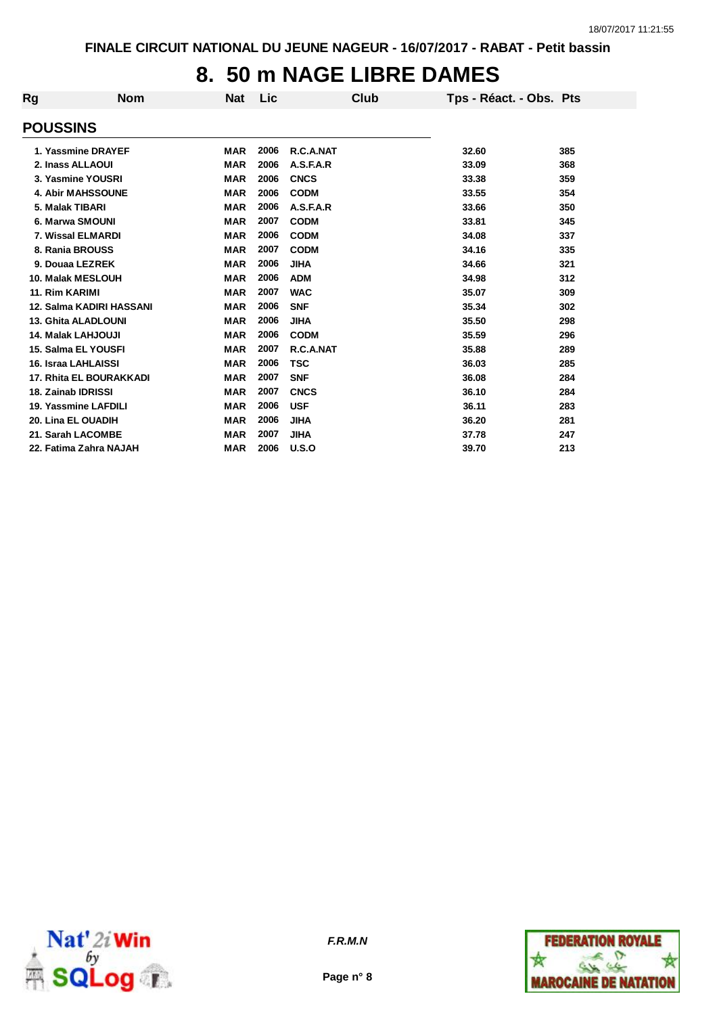## **8. 50 m NAGE LIBRE DAMES**

| Rg | <b>Nom</b>                     | <b>Nat</b> | Lic  | Club        |       | Tps - Réact. - Obs. Pts |
|----|--------------------------------|------------|------|-------------|-------|-------------------------|
|    | <b>POUSSINS</b>                |            |      |             |       |                         |
|    | 1. Yassmine DRAYEF             | <b>MAR</b> | 2006 | R.C.A.NAT   | 32.60 | 385                     |
|    | 2. Inass ALLAOUI               | <b>MAR</b> | 2006 | A.S.F.A.R   | 33.09 | 368                     |
|    | 3. Yasmine YOUSRI              | <b>MAR</b> | 2006 | <b>CNCS</b> | 33.38 | 359                     |
|    | <b>4. Abir MAHSSOUNE</b>       | <b>MAR</b> | 2006 | <b>CODM</b> | 33.55 | 354                     |
|    | 5. Malak TIBARI                | <b>MAR</b> | 2006 | A.S.F.A.R   | 33.66 | 350                     |
|    | 6. Marwa SMOUNI                | <b>MAR</b> | 2007 | <b>CODM</b> | 33.81 | 345                     |
|    | 7. Wissal ELMARDI              | <b>MAR</b> | 2006 | <b>CODM</b> | 34.08 | 337                     |
|    | 8. Rania BROUSS                | <b>MAR</b> | 2007 | <b>CODM</b> | 34.16 | 335                     |
|    | 9. Douaa LEZREK                | <b>MAR</b> | 2006 | <b>JIHA</b> | 34.66 | 321                     |
|    | 10. Malak MESLOUH              | <b>MAR</b> | 2006 | <b>ADM</b>  | 34.98 | 312                     |
|    | 11. Rim KARIMI                 | <b>MAR</b> | 2007 | <b>WAC</b>  | 35.07 | 309                     |
|    | 12. Salma KADIRI HASSANI       | <b>MAR</b> | 2006 | <b>SNF</b>  | 35.34 | 302                     |
|    | <b>13. Ghita ALADLOUNI</b>     | <b>MAR</b> | 2006 | <b>JIHA</b> | 35.50 | 298                     |
|    | <b>14. Malak LAHJOUJI</b>      | <b>MAR</b> | 2006 | <b>CODM</b> | 35.59 | 296                     |
|    | 15. Salma EL YOUSFI            | <b>MAR</b> | 2007 | R.C.A.NAT   | 35.88 | 289                     |
|    | 16. Israa LAHLAISSI            | <b>MAR</b> | 2006 | <b>TSC</b>  | 36.03 | 285                     |
|    | <b>17. Rhita EL BOURAKKADI</b> | <b>MAR</b> | 2007 | <b>SNF</b>  | 36.08 | 284                     |
|    | 18. Zainab IDRISSI             | <b>MAR</b> | 2007 | <b>CNCS</b> | 36.10 | 284                     |
|    | 19. Yassmine LAFDILI           | <b>MAR</b> | 2006 | <b>USF</b>  | 36.11 | 283                     |
|    | 20. Lina EL OUADIH             | <b>MAR</b> | 2006 | <b>JIHA</b> | 36.20 | 281                     |
|    | 21. Sarah LACOMBE              | <b>MAR</b> | 2007 | <b>JIHA</b> | 37.78 | 247                     |
|    | 22. Fatima Zahra NAJAH         | <b>MAR</b> | 2006 | U.S.O       | 39.70 | 213                     |
|    |                                |            |      |             |       |                         |



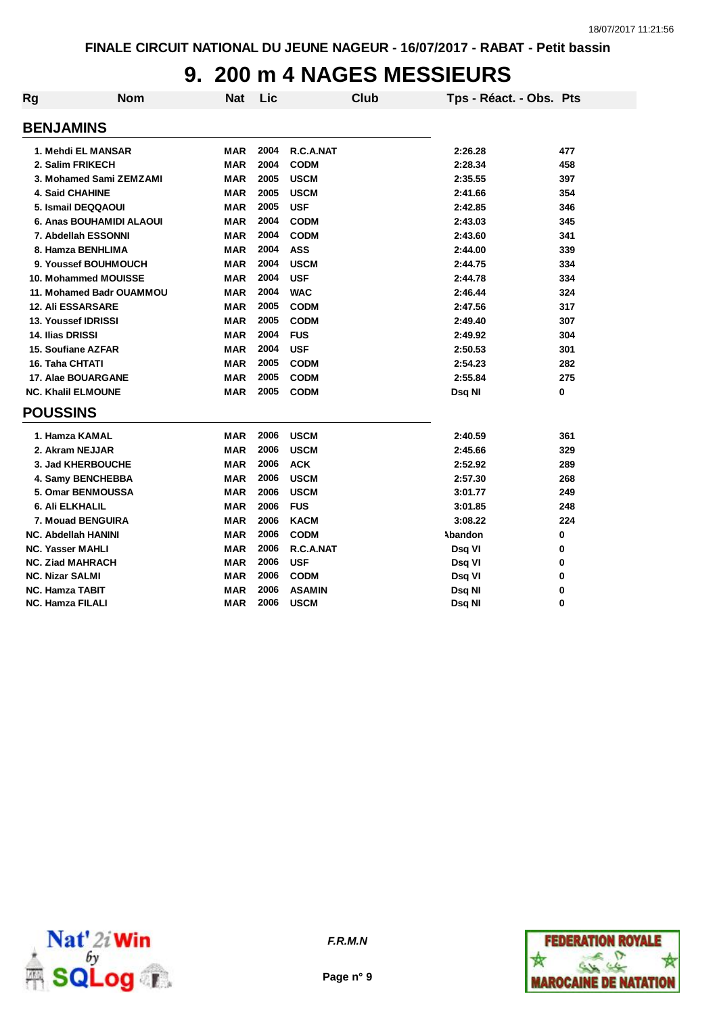## **9. 200 m 4 NAGES MESSIEURS**

| <b>Rg</b> | <b>Nom</b>                 | <b>Nat</b> | Lic  | <b>Club</b>   | Tps - Réact. - Obs. Pts |     |
|-----------|----------------------------|------------|------|---------------|-------------------------|-----|
|           | <b>BENJAMINS</b>           |            |      |               |                         |     |
|           | 1. Mehdi EL MANSAR         | <b>MAR</b> | 2004 | R.C.A.NAT     | 2:26.28                 | 477 |
|           | 2. Salim FRIKECH           | <b>MAR</b> | 2004 | <b>CODM</b>   | 2:28.34                 | 458 |
|           | 3. Mohamed Sami ZEMZAMI    | <b>MAR</b> | 2005 | <b>USCM</b>   | 2:35.55                 | 397 |
|           | <b>4. Said CHAHINE</b>     | <b>MAR</b> | 2005 | <b>USCM</b>   | 2:41.66                 | 354 |
|           | 5. Ismail DEQQAOUI         | <b>MAR</b> | 2005 | <b>USF</b>    | 2:42.85                 | 346 |
|           | 6. Anas BOUHAMIDI ALAOUI   | <b>MAR</b> | 2004 | <b>CODM</b>   | 2:43.03                 | 345 |
|           | 7. Abdellah ESSONNI        | <b>MAR</b> | 2004 | <b>CODM</b>   | 2:43.60                 | 341 |
|           | 8. Hamza BENHLIMA          | <b>MAR</b> | 2004 | <b>ASS</b>    | 2:44.00                 | 339 |
|           | 9. Youssef BOUHMOUCH       | <b>MAR</b> | 2004 | <b>USCM</b>   | 2:44.75                 | 334 |
|           | 10. Mohammed MOUISSE       | <b>MAR</b> | 2004 | <b>USF</b>    | 2:44.78                 | 334 |
|           | 11. Mohamed Badr OUAMMOU   | <b>MAR</b> | 2004 | <b>WAC</b>    | 2:46.44                 | 324 |
|           | <b>12. Ali ESSARSARE</b>   | <b>MAR</b> | 2005 | <b>CODM</b>   | 2:47.56                 | 317 |
|           | 13. Youssef IDRISSI        | <b>MAR</b> | 2005 | <b>CODM</b>   | 2:49.40                 | 307 |
|           | 14. Ilias DRISSI           | <b>MAR</b> | 2004 | <b>FUS</b>    | 2:49.92                 | 304 |
|           | 15. Soufiane AZFAR         | <b>MAR</b> | 2004 | <b>USF</b>    | 2:50.53                 | 301 |
|           | 16. Taha CHTATI            | <b>MAR</b> | 2005 | <b>CODM</b>   | 2:54.23                 | 282 |
|           | 17. Alae BOUARGANE         | <b>MAR</b> | 2005 | <b>CODM</b>   | 2:55.84                 | 275 |
|           | <b>NC. Khalil ELMOUNE</b>  | <b>MAR</b> | 2005 | <b>CODM</b>   | Dsg NI                  | 0   |
|           | <b>POUSSINS</b>            |            |      |               |                         |     |
|           | 1. Hamza KAMAL             | <b>MAR</b> | 2006 | <b>USCM</b>   | 2:40.59                 | 361 |
|           | 2. Akram NEJJAR            | <b>MAR</b> | 2006 | <b>USCM</b>   | 2:45.66                 | 329 |
|           | 3. Jad KHERBOUCHE          | <b>MAR</b> | 2006 | <b>ACK</b>    | 2:52.92                 | 289 |
|           | 4. Samy BENCHEBBA          | <b>MAR</b> | 2006 | <b>USCM</b>   | 2:57.30                 | 268 |
|           | 5. Omar BENMOUSSA          | <b>MAR</b> | 2006 | <b>USCM</b>   | 3:01.77                 | 249 |
|           | 6. Ali ELKHALIL            | <b>MAR</b> | 2006 | <b>FUS</b>    | 3:01.85                 | 248 |
|           | 7. Mouad BENGUIRA          | <b>MAR</b> | 2006 | <b>KACM</b>   | 3:08.22                 | 224 |
|           | <b>NC. Abdellah HANINI</b> | <b>MAR</b> | 2006 | <b>CODM</b>   | Abandon                 | 0   |
|           | <b>NC. Yasser MAHLI</b>    | <b>MAR</b> | 2006 | R.C.A.NAT     | Dsq VI                  | 0   |
|           | <b>NC. Ziad MAHRACH</b>    | <b>MAR</b> | 2006 | <b>USF</b>    | Dsq VI                  | 0   |
|           | <b>NC. Nizar SALMI</b>     | <b>MAR</b> | 2006 | <b>CODM</b>   | Dsq VI                  | 0   |
|           | <b>NC. Hamza TABIT</b>     | <b>MAR</b> | 2006 | <b>ASAMIN</b> | Dsq NI                  | 0   |
|           | <b>NC. Hamza FILALI</b>    | <b>MAR</b> | 2006 | <b>USCM</b>   | Dsq NI                  | 0   |



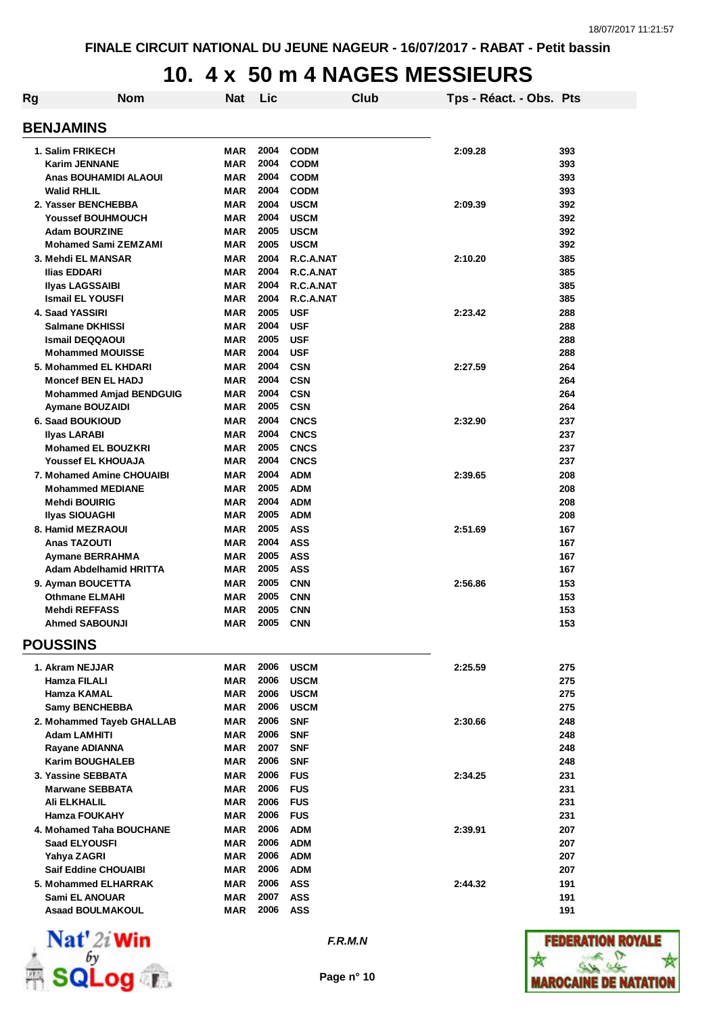## **10. 4 x 50 m 4 NAGES MESSIEURS**

| Rg                              | <b>Nom</b>                     | Nat                      | Lic      |             | Club | Tps - Réact. - Obs. Pts |            |
|---------------------------------|--------------------------------|--------------------------|----------|-------------|------|-------------------------|------------|
| <b>BENJAMINS</b>                |                                |                          |          |             |      |                         |            |
| 1. Salim FRIKECH                |                                | <b>MAR</b>               | 2004     | <b>CODM</b> |      | 2:09.28                 | 393        |
| <b>Karim JENNANE</b>            |                                | <b>MAR</b>               | 2004     | <b>CODM</b> |      |                         | 393        |
|                                 | Anas BOUHAMIDI ALAOUI          | <b>MAR</b>               | 2004     | <b>CODM</b> |      |                         | 393        |
| <b>Walid RHLIL</b>              |                                | <b>MAR</b>               | 2004     | <b>CODM</b> |      |                         | 393        |
| 2. Yasser BENCHEBBA             |                                | <b>MAR</b>               | 2004     | <b>USCM</b> |      | 2:09.39                 | 392        |
| <b>Youssef BOUHMOUCH</b>        |                                | <b>MAR</b>               | 2004     | <b>USCM</b> |      |                         | 392        |
| <b>Adam BOURZINE</b>            |                                | MAR                      | 2005     | <b>USCM</b> |      |                         | 392        |
|                                 | <b>Mohamed Sami ZEMZAMI</b>    | <b>MAR</b>               | 2005     | <b>USCM</b> |      |                         | 392        |
| 3. Mehdi EL MANSAR              |                                | <b>MAR</b>               | 2004     | R.C.A.NAT   |      | 2:10.20                 | 385        |
| Ilias EDDARI                    |                                | <b>MAR</b>               | 2004     | R.C.A.NAT   |      |                         | 385        |
| <b>Ilyas LAGSSAIBI</b>          |                                | <b>MAR</b>               | 2004     | R.C.A.NAT   |      |                         | 385        |
| <b>Ismail EL YOUSFI</b>         |                                | <b>MAR</b>               | 2004     | R.C.A.NAT   |      |                         | 385        |
| 4. Saad YASSIRI                 |                                | <b>MAR</b>               | 2005     | <b>USF</b>  |      | 2:23.42                 | 288        |
| <b>Salmane DKHISSI</b>          |                                | <b>MAR</b>               | 2004     | <b>USF</b>  |      |                         | 288        |
| <b>Ismail DEQQAOUI</b>          |                                | <b>MAR</b>               | 2005     | <b>USF</b>  |      |                         | 288        |
| <b>Mohammed MOUISSE</b>         |                                | <b>MAR</b>               | 2004     | <b>USF</b>  |      |                         | 288        |
| 5. Mohammed EL KHDARI           |                                | <b>MAR</b>               | 2004     | <b>CSN</b>  |      | 2:27.59                 | 264        |
| <b>Moncef BEN EL HADJ</b>       |                                | <b>MAR</b>               | 2004     | <b>CSN</b>  |      |                         | 264        |
|                                 | <b>Mohammed Amjad BENDGUIG</b> | <b>MAR</b>               | 2004     | <b>CSN</b>  |      |                         | 264        |
| <b>Aymane BOUZAIDI</b>          |                                | <b>MAR</b>               | 2005     | <b>CSN</b>  |      |                         | 264        |
| 6. Saad BOUKIOUD                |                                | <b>MAR</b>               | 2004     | <b>CNCS</b> |      | 2:32.90                 | 237        |
| <b>Ilyas LARABI</b>             |                                | MAR                      | 2004     | <b>CNCS</b> |      |                         | 237        |
| <b>Mohamed EL BOUZKRI</b>       |                                | MAR                      | 2005     | <b>CNCS</b> |      |                         | 237        |
| Youssef EL KHOUAJA              |                                | <b>MAR</b>               | 2004     | <b>CNCS</b> |      |                         | 237        |
|                                 | 7. Mohamed Amine CHOUAIBI      | <b>MAR</b>               | 2004     | <b>ADM</b>  |      | 2:39.65                 | 208        |
| <b>Mohammed MEDIANE</b>         |                                | <b>MAR</b>               | 2005     | <b>ADM</b>  |      |                         | 208        |
| <b>Mehdi BOUIRIG</b>            |                                | <b>MAR</b>               | 2004     | <b>ADM</b>  |      |                         | 208        |
| <b>Ilyas SIOUAGHI</b>           |                                | <b>MAR</b>               | 2005     | <b>ADM</b>  |      |                         | 208        |
| 8. Hamid MEZRAOUI               |                                | <b>MAR</b>               | 2005     | <b>ASS</b>  |      | 2:51.69                 | 167        |
| <b>Anas TAZOUTI</b>             |                                | <b>MAR</b>               | 2004     | <b>ASS</b>  |      |                         | 167        |
| <b>Aymane BERRAHMA</b>          |                                | MAR                      | 2005     | <b>ASS</b>  |      |                         | 167        |
|                                 | <b>Adam Abdelhamid HRITTA</b>  | <b>MAR</b>               | 2005     | <b>ASS</b>  |      |                         | 167        |
| 9. Ayman BOUCETTA               |                                | <b>MAR</b>               | 2005     | <b>CNN</b>  |      | 2:56.86                 | 153        |
| <b>Othmane ELMAHI</b>           |                                | <b>MAR</b>               | 2005     | <b>CNN</b>  |      |                         | 153        |
| <b>Mehdi REFFASS</b>            |                                | MAR                      | 2005     | <b>CNN</b>  |      |                         | 153        |
| <b>Ahmed SABOUNJI</b>           |                                | <b>MAR</b>               | 2005     | <b>CNN</b>  |      |                         | 153        |
| <b>POUSSINS</b>                 |                                |                          |          |             |      |                         |            |
|                                 |                                |                          | 2006     | <b>USCM</b> |      |                         |            |
| 1. Akram NEJJAR<br>Hamza FILALI |                                | <b>MAR</b><br><b>MAR</b> | 2006     | <b>USCM</b> |      | 2:25.59                 | 275<br>275 |
| <b>Hamza KAMAL</b>              |                                | <b>MAR</b>               | 2006     | <b>USCM</b> |      |                         | 275        |
| <b>Samy BENCHEBBA</b>           |                                | <b>MAR</b>               | 2006     | <b>USCM</b> |      |                         | 275        |
|                                 | 2. Mohammed Tayeb GHALLAB      | <b>MAR</b>               | 2006     | <b>SNF</b>  |      | 2:30.66                 | 248        |
| <b>Adam LAMHITI</b>             |                                | <b>MAR</b>               | 2006     | <b>SNF</b>  |      |                         | 248        |
| <b>Rayane ADIANNA</b>           |                                | <b>MAR</b>               | 2007     | <b>SNF</b>  |      |                         | 248        |
| <b>Karim BOUGHALEB</b>          |                                | <b>MAR</b>               | 2006     | <b>SNF</b>  |      |                         | 248        |
| 3. Yassine SEBBATA              |                                | <b>MAR</b>               | 2006     | <b>FUS</b>  |      | 2:34.25                 | 231        |
| <b>Marwane SEBBATA</b>          |                                | <b>MAR</b>               | 2006     | <b>FUS</b>  |      |                         | 231        |
| Ali ELKHALIL                    |                                | <b>MAR</b>               | 2006 FUS |             |      |                         | 231        |
| <b>Hamza FOUKAHY</b>            |                                | <b>MAR</b>               | 2006 FUS |             |      |                         | 231        |
|                                 | 4. Mohamed Taha BOUCHANE       | <b>MAR</b>               | 2006     | <b>ADM</b>  |      | 2:39.91                 | 207        |
| <b>Saad ELYOUSFI</b>            |                                | <b>MAR</b>               | 2006     | <b>ADM</b>  |      |                         | 207        |
| Yahya ZAGRI                     |                                | <b>MAR</b>               | 2006     | <b>ADM</b>  |      |                         | 207        |
| <b>Saif Eddine CHOUAIBI</b>     |                                | <b>MAR</b>               | 2006     | <b>ADM</b>  |      |                         | 207        |
| 5. Mohammed ELHARRAK            |                                |                          | 2006     | ASS         |      | 2:44.32                 |            |
| Sami EL ANOUAR                  |                                | <b>MAR</b><br><b>MAR</b> | 2007     | <b>ASS</b>  |      |                         | 191<br>191 |
| <b>Asaad BOULMAKOUL</b>         |                                | <b>MAR</b>               | 2006 ASS |             |      |                         | 191        |
|                                 |                                |                          |          |             |      |                         |            |



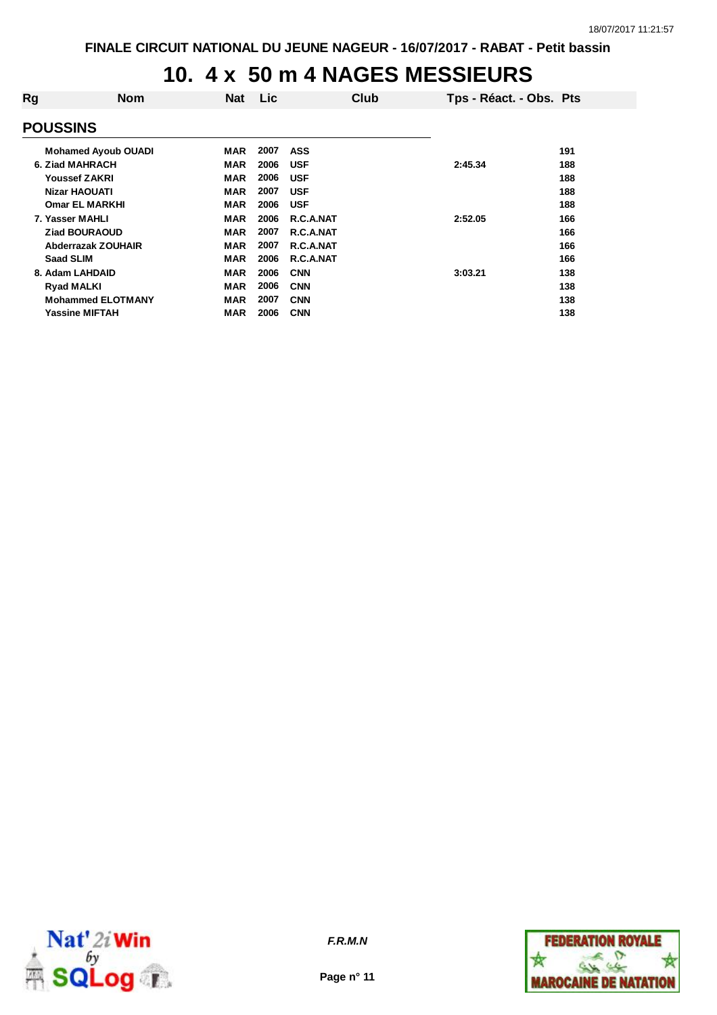## **10. 4 x 50 m 4 NAGES MESSIEURS**

| Rg | <b>Nom</b>                 | <b>Nat</b> | Lic  |            | Club | Tps - Réact. - Obs. Pts |     |
|----|----------------------------|------------|------|------------|------|-------------------------|-----|
|    |                            |            |      |            |      |                         |     |
|    | <b>POUSSINS</b>            |            |      |            |      |                         |     |
|    | <b>Mohamed Ayoub OUADI</b> | <b>MAR</b> | 2007 | <b>ASS</b> |      |                         | 191 |
|    | 6. Ziad MAHRACH            | <b>MAR</b> | 2006 | <b>USF</b> |      | 2:45.34                 | 188 |
|    | <b>Youssef ZAKRI</b>       | <b>MAR</b> | 2006 | <b>USF</b> |      |                         | 188 |
|    | <b>Nizar HAOUATI</b>       | <b>MAR</b> | 2007 | <b>USF</b> |      |                         | 188 |
|    | <b>Omar EL MARKHI</b>      | <b>MAR</b> | 2006 | <b>USF</b> |      |                         | 188 |
|    | 7. Yasser MAHLI            | <b>MAR</b> | 2006 | R.C.A.NAT  |      | 2:52.05                 | 166 |
|    | <b>Ziad BOURAOUD</b>       | <b>MAR</b> | 2007 | R.C.A.NAT  |      |                         | 166 |
|    | Abderrazak ZOUHAIR         | <b>MAR</b> | 2007 | R.C.A.NAT  |      |                         | 166 |
|    | <b>Saad SLIM</b>           | <b>MAR</b> | 2006 | R.C.A.NAT  |      |                         | 166 |
|    | 8. Adam LAHDAID            | <b>MAR</b> | 2006 | <b>CNN</b> |      | 3:03.21                 | 138 |
|    | <b>Ryad MALKI</b>          | <b>MAR</b> | 2006 | <b>CNN</b> |      |                         | 138 |
|    | <b>Mohammed ELOTMANY</b>   | <b>MAR</b> | 2007 | <b>CNN</b> |      |                         | 138 |
|    | <b>Yassine MIFTAH</b>      | <b>MAR</b> | 2006 | <b>CNN</b> |      |                         | 138 |
|    |                            |            |      |            |      |                         |     |



**Page n° 11**

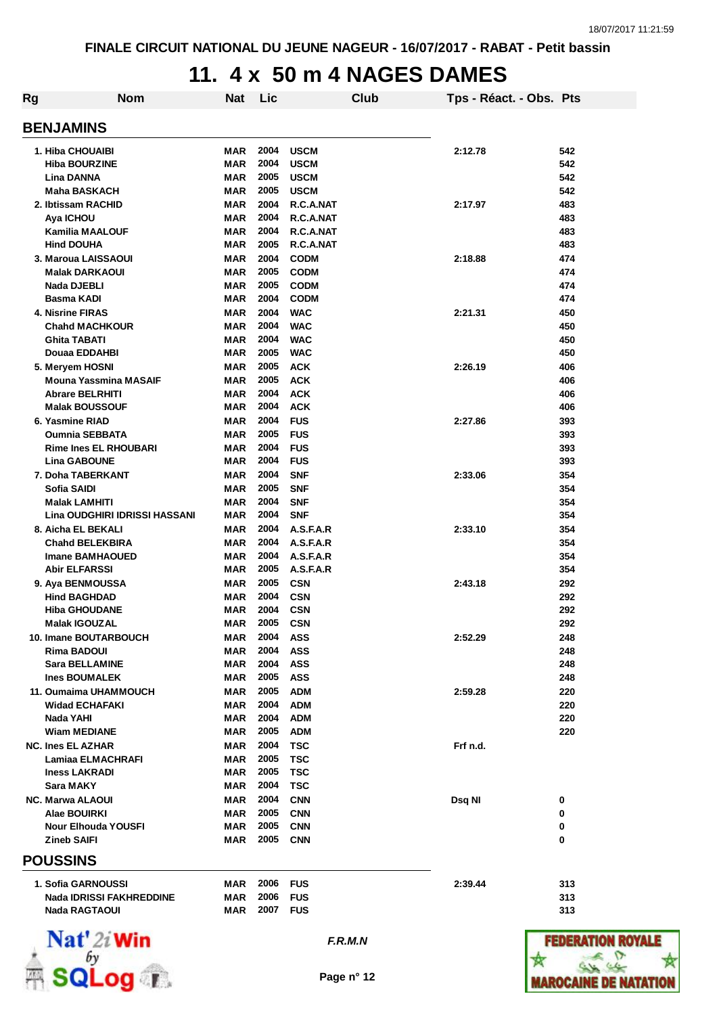## **11. 4 x 50 m 4 NAGES DAMES**

| Rg | <b>Nom</b>                                                                                         | <b>Nat</b>                                           | Lic                          |                                                          | Club | Tps - Réact. - Obs. Pts |                          |
|----|----------------------------------------------------------------------------------------------------|------------------------------------------------------|------------------------------|----------------------------------------------------------|------|-------------------------|--------------------------|
|    | <b>BENJAMINS</b>                                                                                   |                                                      |                              |                                                          |      |                         |                          |
|    | 1. Hiba CHOUAIBI<br><b>Hiba BOURZINE</b><br>Lina DANNA<br><b>Maha BASKACH</b>                      | <b>MAR</b><br><b>MAR</b><br><b>MAR</b><br><b>MAR</b> | 2004<br>2004<br>2005<br>2005 | <b>USCM</b><br><b>USCM</b><br><b>USCM</b><br><b>USCM</b> |      | 2:12.78                 | 542<br>542<br>542<br>542 |
|    | 2. Ibtissam RACHID<br>Aya ICHOU<br><b>Kamilia MAALOUF</b><br><b>Hind DOUHA</b>                     | <b>MAR</b><br><b>MAR</b><br><b>MAR</b><br><b>MAR</b> | 2004<br>2004<br>2004<br>2005 | R.C.A.NAT<br>R.C.A.NAT<br>R.C.A.NAT<br>R.C.A.NAT         |      | 2:17.97                 | 483<br>483<br>483<br>483 |
|    | 3. Maroua LAISSAOUI<br><b>Malak DARKAOUI</b><br>Nada DJEBLI<br>Basma KADI                          | <b>MAR</b><br><b>MAR</b><br><b>MAR</b><br><b>MAR</b> | 2004<br>2005<br>2005<br>2004 | <b>CODM</b><br><b>CODM</b><br><b>CODM</b><br><b>CODM</b> |      | 2:18.88                 | 474<br>474<br>474<br>474 |
|    | <b>4. Nisrine FIRAS</b><br><b>Chahd MACHKOUR</b><br><b>Ghita TABATI</b><br>Douaa EDDAHBI           | <b>MAR</b><br><b>MAR</b><br><b>MAR</b><br><b>MAR</b> | 2004<br>2004<br>2004<br>2005 | <b>WAC</b><br><b>WAC</b><br><b>WAC</b><br><b>WAC</b>     |      | 2:21.31                 | 450<br>450<br>450<br>450 |
|    | 5. Meryem HOSNI<br><b>Mouna Yassmina MASAIF</b><br><b>Abrare BELRHITI</b><br><b>Malak BOUSSOUF</b> | <b>MAR</b><br><b>MAR</b><br><b>MAR</b><br><b>MAR</b> | 2005<br>2005<br>2004<br>2004 | <b>ACK</b><br><b>ACK</b><br><b>ACK</b><br><b>ACK</b>     |      | 2:26.19                 | 406<br>406<br>406<br>406 |
|    | 6. Yasmine RIAD<br><b>Oumnia SEBBATA</b><br><b>Rime Ines EL RHOUBARI</b><br><b>Lina GABOUNE</b>    | <b>MAR</b><br><b>MAR</b><br><b>MAR</b><br><b>MAR</b> | 2004<br>2005<br>2004<br>2004 | <b>FUS</b><br><b>FUS</b><br><b>FUS</b><br><b>FUS</b>     |      | 2:27.86                 | 393<br>393<br>393<br>393 |
|    | 7. Doha TABERKANT<br>Sofia SAIDI<br><b>Malak LAMHITI</b><br>Lina OUDGHIRI IDRISSI HASSANI          | <b>MAR</b><br><b>MAR</b><br><b>MAR</b><br><b>MAR</b> | 2004<br>2005<br>2004<br>2004 | <b>SNF</b><br><b>SNF</b><br><b>SNF</b><br><b>SNF</b>     |      | 2:33.06                 | 354<br>354<br>354<br>354 |
|    | 8. Aicha EL BEKALI<br><b>Chand BELEKBIRA</b><br><b>Imane BAMHAOUED</b><br><b>Abir ELFARSSI</b>     | <b>MAR</b><br><b>MAR</b><br><b>MAR</b><br>MAR        | 2004<br>2004<br>2004<br>2005 | A.S.F.A.R<br>A.S.F.A.R<br>A.S.F.A.R<br>A.S.F.A.R         |      | 2:33.10                 | 354<br>354<br>354<br>354 |
|    | 9. Aya BENMOUSSA<br><b>Hind BAGHDAD</b><br><b>Hiba GHOUDANE</b><br><b>Malak IGOUZAL</b>            | <b>MAR</b><br><b>MAR</b><br><b>MAR</b><br><b>MAR</b> | 2005<br>2004<br>2004<br>2005 | <b>CSN</b><br><b>CSN</b><br><b>CSN</b><br><b>CSN</b>     |      | 2:43.18                 | 292<br>292<br>292<br>292 |
|    | 10. Imane BOUTARBOUCH<br><b>Rima BADOUI</b><br><b>Sara BELLAMINE</b><br><b>Ines BOUMALEK</b>       | MAR<br><b>MAR</b><br><b>MAR</b><br>MAR               | 2004<br>2004<br>2004<br>2005 | ASS<br><b>ASS</b><br><b>ASS</b><br><b>ASS</b>            |      | 2:52.29                 | 248<br>248<br>248<br>248 |
|    | 11. Oumaima UHAMMOUCH<br><b>Widad ECHAFAKI</b><br>Nada YAHI<br><b>Wiam MEDIANE</b>                 | <b>MAR</b><br><b>MAR</b><br>MAR<br>MAR               | 2005<br>2004<br>2004<br>2005 | <b>ADM</b><br><b>ADM</b><br><b>ADM</b><br><b>ADM</b>     |      | 2:59.28                 | 220<br>220<br>220<br>220 |
|    | <b>NC. Ines EL AZHAR</b><br>Lamiaa ELMACHRAFI<br><b>Iness LAKRADI</b><br><b>Sara MAKY</b>          | <b>MAR</b><br><b>MAR</b><br><b>MAR</b><br><b>MAR</b> | 2004<br>2005<br>2005<br>2004 | <b>TSC</b><br><b>TSC</b><br><b>TSC</b><br><b>TSC</b>     |      | Frf n.d.                |                          |
|    | <b>NC. Marwa ALAOUI</b><br>Alae BOUIRKI<br><b>Nour Elhouda YOUSFI</b><br><b>Zineb SAIFI</b>        | <b>MAR</b><br><b>MAR</b><br><b>MAR</b><br><b>MAR</b> | 2004<br>2005<br>2005<br>2005 | <b>CNN</b><br><b>CNN</b><br><b>CNN</b><br><b>CNN</b>     |      | Dsq NI                  | 0<br>0<br>0<br>0         |
|    | <b>POUSSINS</b>                                                                                    |                                                      |                              |                                                          |      |                         |                          |
|    | 1. Sofia GARNOUSSI<br><b>Nada IDRISSI FAKHREDDINE</b><br><b>Nada RAGTAOUI</b>                      | MAR<br><b>MAR</b><br>MAR                             | 2006<br>2006<br>2007         | <b>FUS</b><br><b>FUS</b><br><b>FUS</b>                   |      | 2:39.44                 | 313<br>313<br>313        |



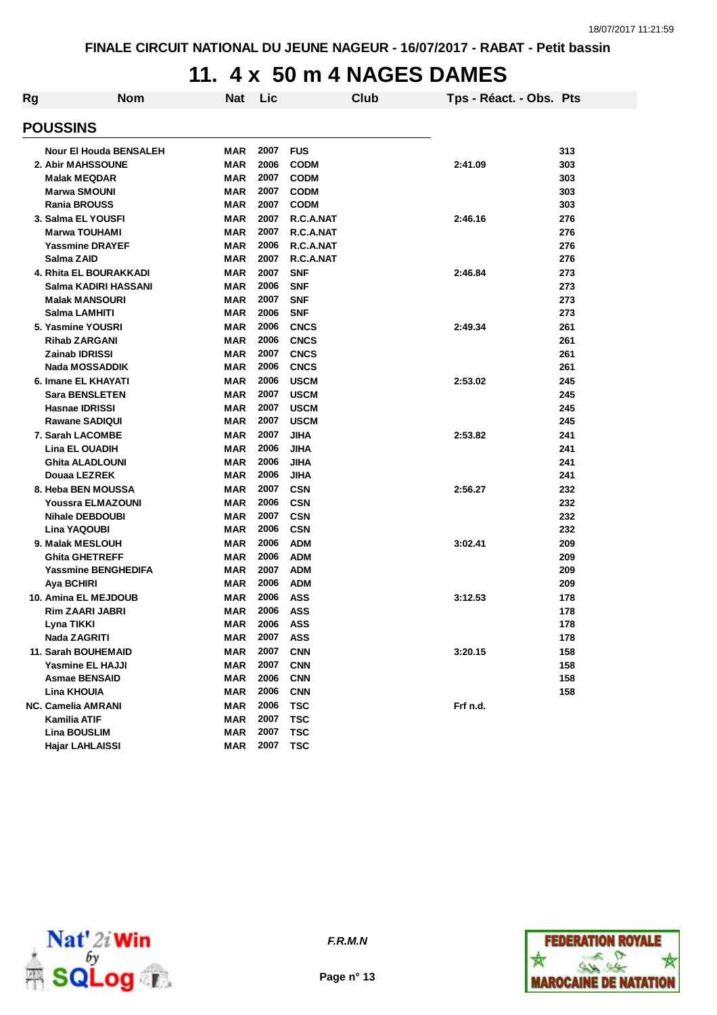## **11. 4 x 50 m 4 NAGES DAMES**

| Rg | <b>Nom</b>                    | <b>Nat</b> | Lic  |             | Club | Tps - Réact. - Obs. Pts |     |
|----|-------------------------------|------------|------|-------------|------|-------------------------|-----|
|    | <b>POUSSINS</b>               |            |      |             |      |                         |     |
|    | <b>Nour El Houda BENSALEH</b> | MAR        | 2007 | <b>FUS</b>  |      |                         | 313 |
|    | 2. Abir MAHSSOUNE             | <b>MAR</b> | 2006 | <b>CODM</b> |      | 2:41.09                 | 303 |
|    | <b>Malak MEQDAR</b>           | MAR        | 2007 | <b>CODM</b> |      |                         | 303 |
|    | <b>Marwa SMOUNI</b>           | MAR        | 2007 | <b>CODM</b> |      |                         | 303 |
|    | <b>Rania BROUSS</b>           | MAR        | 2007 | <b>CODM</b> |      |                         | 303 |
|    | 3. Salma EL YOUSFI            | MAR        | 2007 | R.C.A.NAT   |      | 2:46.16                 | 276 |
|    | <b>Marwa TOUHAMI</b>          | <b>MAR</b> | 2007 | R.C.A.NAT   |      |                         | 276 |
|    | <b>Yassmine DRAYEF</b>        | MAR        | 2006 | R.C.A.NAT   |      |                         | 276 |
|    | Salma ZAID                    | MAR        | 2007 | R.C.A.NAT   |      |                         | 276 |
|    | 4. Rhita EL BOURAKKADI        | <b>MAR</b> | 2007 | <b>SNF</b>  |      | 2:46.84                 | 273 |
|    | Salma KADIRI HASSANI          | <b>MAR</b> | 2006 | <b>SNF</b>  |      |                         | 273 |
|    | <b>Malak MANSOURI</b>         | MAR        | 2007 | <b>SNF</b>  |      |                         | 273 |
|    | Salma LAMHITI                 | MAR        | 2006 | <b>SNF</b>  |      |                         | 273 |
|    | 5. Yasmine YOUSRI             | <b>MAR</b> | 2006 | <b>CNCS</b> |      | 2:49.34                 | 261 |
|    | <b>Rihab ZARGANI</b>          | <b>MAR</b> | 2006 | <b>CNCS</b> |      |                         | 261 |
|    | <b>Zainab IDRISSI</b>         | <b>MAR</b> | 2007 | <b>CNCS</b> |      |                         | 261 |
|    | <b>Nada MOSSADDIK</b>         | MAR        | 2006 | <b>CNCS</b> |      |                         | 261 |
|    | 6. Imane EL KHAYATI           | <b>MAR</b> | 2006 | <b>USCM</b> |      | 2:53.02                 | 245 |
|    | <b>Sara BENSLETEN</b>         | <b>MAR</b> | 2007 | <b>USCM</b> |      |                         | 245 |
|    | <b>Hasnae IDRISSI</b>         | <b>MAR</b> | 2007 | <b>USCM</b> |      |                         | 245 |
|    | <b>Rawane SADIQUI</b>         | MAR        | 2007 | <b>USCM</b> |      |                         | 245 |
|    | 7. Sarah LACOMBE              | <b>MAR</b> | 2007 | <b>JIHA</b> |      | 2:53.82                 | 241 |
|    | <b>Lina EL OUADIH</b>         | MAR        | 2006 | JIHA        |      |                         | 241 |
|    | <b>Ghita ALADLOUNI</b>        | MAR        | 2006 | <b>JIHA</b> |      |                         | 241 |
|    | Douaa LEZREK                  | <b>MAR</b> | 2006 | <b>JIHA</b> |      |                         | 241 |
|    | 8. Heba BEN MOUSSA            | <b>MAR</b> | 2007 | <b>CSN</b>  |      | 2:56.27                 | 232 |
|    | Youssra ELMAZOUNI             | <b>MAR</b> | 2006 | <b>CSN</b>  |      |                         | 232 |
|    | <b>Nihale DEBDOUBI</b>        | MAR        | 2007 | <b>CSN</b>  |      |                         | 232 |
|    | Lina YAQOUBI                  | MAR        | 2006 | <b>CSN</b>  |      |                         | 232 |
|    | 9. Malak MESLOUH              | <b>MAR</b> | 2006 | <b>ADM</b>  |      | 3:02.41                 | 209 |
|    | <b>Ghita GHETREFF</b>         | MAR        | 2006 | <b>ADM</b>  |      |                         | 209 |
|    | <b>Yassmine BENGHEDIFA</b>    | <b>MAR</b> | 2007 | <b>ADM</b>  |      |                         | 209 |
|    | Aya BCHIRI                    | MAR        | 2006 | <b>ADM</b>  |      |                         | 209 |
|    | 10. Amina EL MEJDOUB          | MAR        | 2006 | ASS         |      | 3:12.53                 | 178 |
|    | <b>Rim ZAARI JABRI</b>        | MAR        | 2006 | <b>ASS</b>  |      |                         | 178 |
|    | Lyna TIKKI                    | MAR        | 2006 | ASS         |      |                         | 178 |
|    | Nada ZAGRITI                  | MAR        | 2007 | <b>ASS</b>  |      |                         | 178 |
|    | 11. Sarah BOUHEMAID           | <b>MAR</b> | 2007 | <b>CNN</b>  |      | 3:20.15                 | 158 |
|    | Yasmine EL HAJJI              | <b>MAR</b> | 2007 | <b>CNN</b>  |      |                         | 158 |
|    | <b>Asmae BENSAID</b>          | <b>MAR</b> | 2006 | <b>CNN</b>  |      |                         | 158 |
|    | Lina KHOUIA                   | MAR        | 2006 | <b>CNN</b>  |      |                         | 158 |
|    | <b>NC. Camelia AMRANI</b>     | <b>MAR</b> | 2006 | <b>TSC</b>  |      | Frf n.d.                |     |
|    | Kamilia ATIF                  | <b>MAR</b> | 2007 | <b>TSC</b>  |      |                         |     |
|    | <b>Lina BOUSLIM</b>           | MAR        | 2007 | <b>TSC</b>  |      |                         |     |
|    | Hajar LAHLAISSI               | MAR        | 2007 | <b>TSC</b>  |      |                         |     |



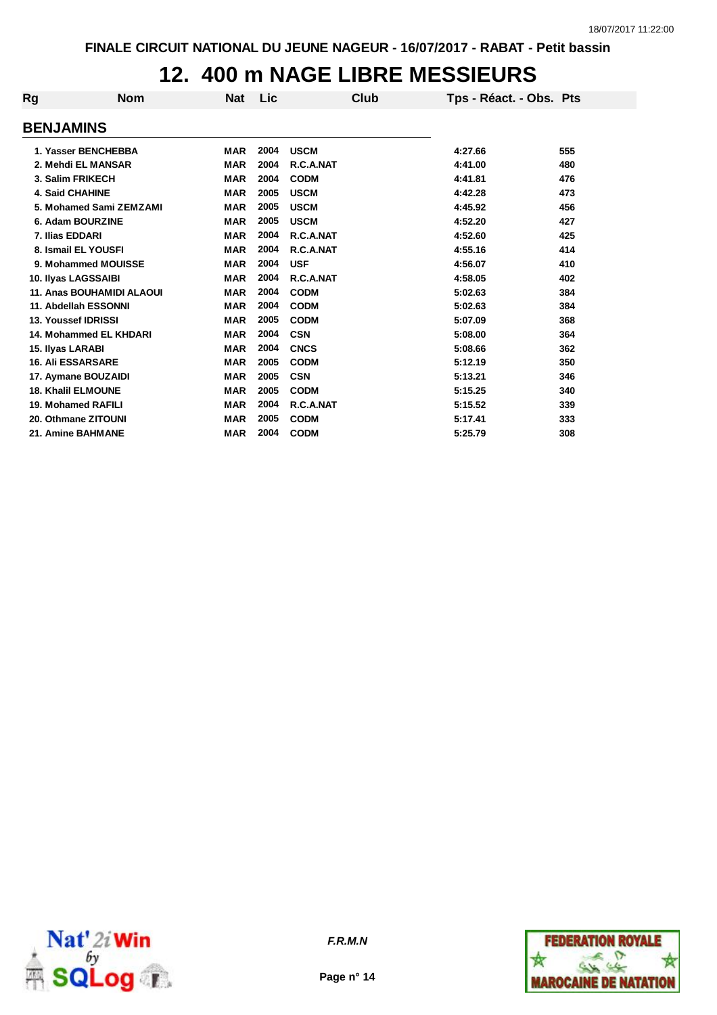### **12. 400 m NAGE LIBRE MESSIEURS**

| Rg                               | <b>Nom</b> | <b>Nat</b> | Lic  | Club        | Tps - Réact. - Obs. Pts |     |
|----------------------------------|------------|------------|------|-------------|-------------------------|-----|
| <b>BENJAMINS</b>                 |            |            |      |             |                         |     |
| 1. Yasser BENCHEBBA              |            | <b>MAR</b> | 2004 | <b>USCM</b> | 4:27.66                 | 555 |
| 2. Mehdi EL MANSAR               |            | <b>MAR</b> | 2004 | R.C.A.NAT   | 4:41.00                 | 480 |
| 3. Salim FRIKECH                 |            | <b>MAR</b> | 2004 | <b>CODM</b> | 4:41.81                 | 476 |
| <b>4. Said CHAHINE</b>           |            | <b>MAR</b> | 2005 | <b>USCM</b> | 4:42.28                 | 473 |
| 5. Mohamed Sami ZEMZAMI          |            | <b>MAR</b> | 2005 | <b>USCM</b> | 4:45.92                 | 456 |
| 6. Adam BOURZINE                 |            | <b>MAR</b> | 2005 | <b>USCM</b> | 4:52.20                 | 427 |
| 7. Ilias EDDARI                  |            | <b>MAR</b> | 2004 | R.C.A.NAT   | 4:52.60                 | 425 |
| 8. Ismail EL YOUSFI              |            | <b>MAR</b> | 2004 | R.C.A.NAT   | 4:55.16                 | 414 |
| 9. Mohammed MOUISSE              |            | <b>MAR</b> | 2004 | <b>USF</b>  | 4:56.07                 | 410 |
| 10. Ilyas LAGSSAIBI              |            | <b>MAR</b> | 2004 | R.C.A.NAT   | 4:58.05                 | 402 |
| <b>11. Anas BOUHAMIDI ALAOUI</b> |            | <b>MAR</b> | 2004 | <b>CODM</b> | 5:02.63                 | 384 |
| 11. Abdellah ESSONNI             |            | <b>MAR</b> | 2004 | <b>CODM</b> | 5:02.63                 | 384 |
| <b>13. Youssef IDRISSI</b>       |            | <b>MAR</b> | 2005 | <b>CODM</b> | 5:07.09                 | 368 |
| 14. Mohammed EL KHDARI           |            | <b>MAR</b> | 2004 | <b>CSN</b>  | 5:08.00                 | 364 |
| 15. Ilyas LARABI                 |            | <b>MAR</b> | 2004 | <b>CNCS</b> | 5:08.66                 | 362 |
| <b>16. Ali ESSARSARE</b>         |            | <b>MAR</b> | 2005 | <b>CODM</b> | 5:12.19                 | 350 |
| 17. Aymane BOUZAIDI              |            | <b>MAR</b> | 2005 | <b>CSN</b>  | 5:13.21                 | 346 |
| <b>18. Khalil ELMOUNE</b>        |            | <b>MAR</b> | 2005 | <b>CODM</b> | 5:15.25                 | 340 |
| 19. Mohamed RAFILI               |            | <b>MAR</b> | 2004 | R.C.A.NAT   | 5:15.52                 | 339 |
| 20. Othmane ZITOUNI              |            | <b>MAR</b> | 2005 | <b>CODM</b> | 5:17.41                 | 333 |
| 21. Amine BAHMANE                |            | <b>MAR</b> | 2004 | <b>CODM</b> | 5:25.79                 | 308 |



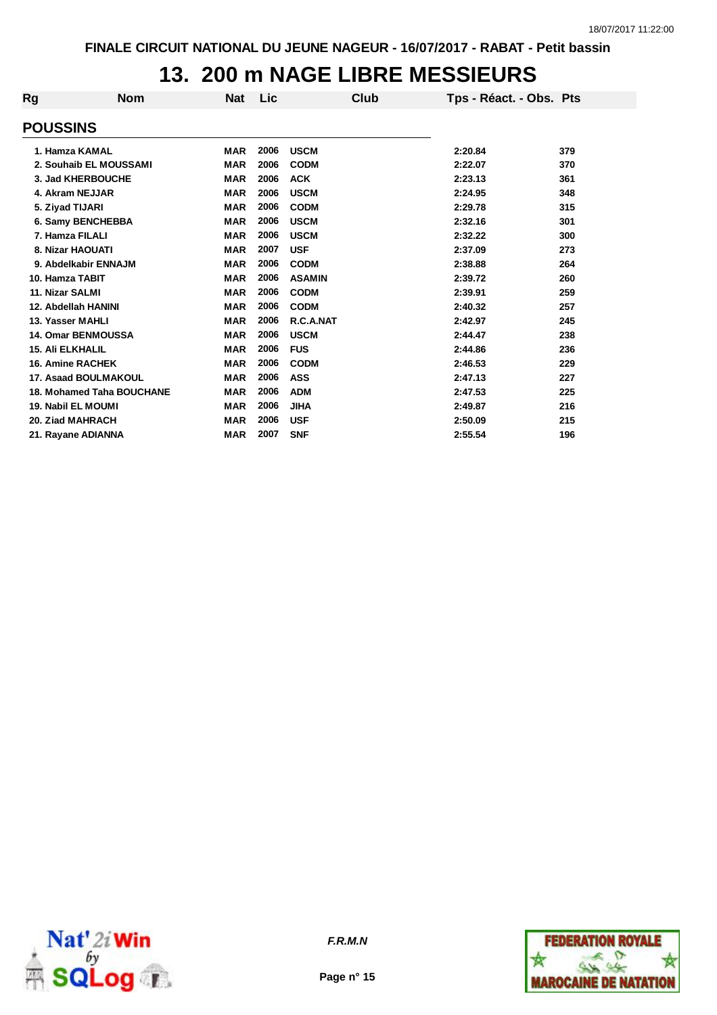## **13. 200 m NAGE LIBRE MESSIEURS**

| Rg              | <b>Nom</b>                | <b>Nat</b> | Lic  | Club          | Tps - Réact. - Obs. Pts |     |
|-----------------|---------------------------|------------|------|---------------|-------------------------|-----|
| <b>POUSSINS</b> |                           |            |      |               |                         |     |
|                 | 1. Hamza KAMAL            | <b>MAR</b> | 2006 | <b>USCM</b>   | 2:20.84                 | 379 |
|                 | 2. Souhaib EL MOUSSAMI    | <b>MAR</b> | 2006 | <b>CODM</b>   | 2:22.07                 | 370 |
|                 | 3. Jad KHERBOUCHE         | <b>MAR</b> | 2006 | <b>ACK</b>    | 2:23.13                 | 361 |
|                 | 4. Akram NEJJAR           | <b>MAR</b> | 2006 | <b>USCM</b>   | 2:24.95                 | 348 |
|                 | 5. Ziyad TIJARI           | <b>MAR</b> | 2006 | <b>CODM</b>   | 2:29.78                 | 315 |
|                 | 6. Samy BENCHEBBA         | <b>MAR</b> | 2006 | <b>USCM</b>   | 2:32.16                 | 301 |
|                 | 7. Hamza FILALI           | <b>MAR</b> | 2006 | <b>USCM</b>   | 2:32.22                 | 300 |
|                 | 8. Nizar HAOUATI          | <b>MAR</b> | 2007 | <b>USF</b>    | 2:37.09                 | 273 |
|                 | 9. Abdelkabir ENNAJM      | <b>MAR</b> | 2006 | <b>CODM</b>   | 2:38.88                 | 264 |
|                 | 10. Hamza TABIT           | <b>MAR</b> | 2006 | <b>ASAMIN</b> | 2:39.72                 | 260 |
| 11. Nizar SALMI |                           | <b>MAR</b> | 2006 | <b>CODM</b>   | 2:39.91                 | 259 |
|                 | 12. Abdellah HANINI       | <b>MAR</b> | 2006 | <b>CODM</b>   | 2:40.32                 | 257 |
|                 | 13. Yasser MAHLI          | <b>MAR</b> | 2006 | R.C.A.NAT     | 2:42.97                 | 245 |
|                 | <b>14. Omar BENMOUSSA</b> | <b>MAR</b> | 2006 | <b>USCM</b>   | 2:44.47                 | 238 |
|                 | <b>15. Ali ELKHALIL</b>   | <b>MAR</b> | 2006 | <b>FUS</b>    | 2:44.86                 | 236 |
|                 | <b>16. Amine RACHEK</b>   | <b>MAR</b> | 2006 | <b>CODM</b>   | 2:46.53                 | 229 |
|                 | 17. Asaad BOULMAKOUL      | <b>MAR</b> | 2006 | <b>ASS</b>    | 2:47.13                 | 227 |
|                 | 18. Mohamed Taha BOUCHANE | <b>MAR</b> | 2006 | <b>ADM</b>    | 2:47.53                 | 225 |
|                 | <b>19. Nabil EL MOUMI</b> | <b>MAR</b> | 2006 | <b>JIHA</b>   | 2:49.87                 | 216 |
|                 | 20. Ziad MAHRACH          | <b>MAR</b> | 2006 | <b>USF</b>    | 2:50.09                 | 215 |
|                 | 21. Rayane ADIANNA        | <b>MAR</b> | 2007 | <b>SNF</b>    | 2:55.54                 | 196 |



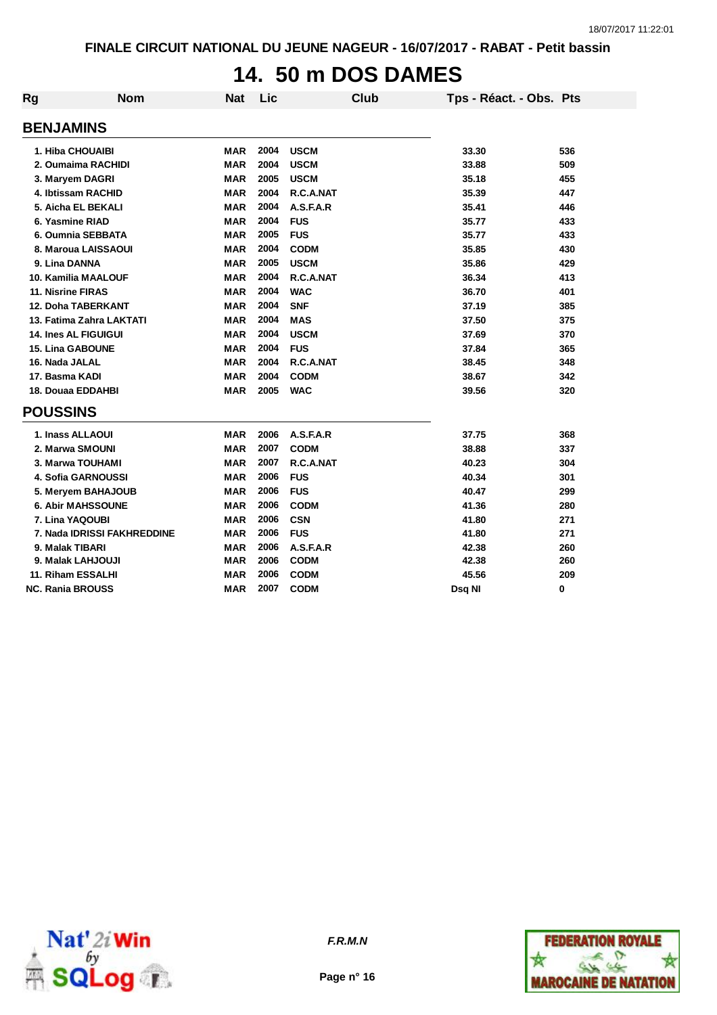#### **14. 50 m DOS DAMES**

| Rg | <b>Nom</b>                  | <b>Nat</b> | Lic  | <b>Club</b> | Tps - Réact. - Obs. Pts |     |
|----|-----------------------------|------------|------|-------------|-------------------------|-----|
|    | <b>BENJAMINS</b>            |            |      |             |                         |     |
|    | 1. Hiba CHOUAIBI            | <b>MAR</b> | 2004 | <b>USCM</b> | 33.30                   | 536 |
|    | 2. Oumaima RACHIDI          | <b>MAR</b> | 2004 | <b>USCM</b> | 33.88                   | 509 |
|    | 3. Maryem DAGRI             | <b>MAR</b> | 2005 | <b>USCM</b> | 35.18                   | 455 |
|    | 4. Ibtissam RACHID          | <b>MAR</b> | 2004 | R.C.A.NAT   | 35.39                   | 447 |
|    | 5. Aicha EL BEKALI          | <b>MAR</b> | 2004 | A.S.F.A.R   | 35.41                   | 446 |
|    | 6. Yasmine RIAD             | <b>MAR</b> | 2004 | <b>FUS</b>  | 35.77                   | 433 |
|    | 6. Oumnia SEBBATA           | <b>MAR</b> | 2005 | <b>FUS</b>  | 35.77                   | 433 |
|    | 8. Maroua LAISSAOUI         | <b>MAR</b> | 2004 | <b>CODM</b> | 35.85                   | 430 |
|    | 9. Lina DANNA               | <b>MAR</b> | 2005 | <b>USCM</b> | 35.86                   | 429 |
|    | 10. Kamilia MAALOUF         | <b>MAR</b> | 2004 | R.C.A.NAT   | 36.34                   | 413 |
|    | <b>11. Nisrine FIRAS</b>    | <b>MAR</b> | 2004 | <b>WAC</b>  | 36.70                   | 401 |
|    | <b>12. Doha TABERKANT</b>   | <b>MAR</b> | 2004 | <b>SNF</b>  | 37.19                   | 385 |
|    | 13. Fatima Zahra LAKTATI    | <b>MAR</b> | 2004 | <b>MAS</b>  | 37.50                   | 375 |
|    | <b>14. Ines AL FIGUIGUI</b> | <b>MAR</b> | 2004 | <b>USCM</b> | 37.69                   | 370 |
|    | <b>15. Lina GABOUNE</b>     | <b>MAR</b> | 2004 | <b>FUS</b>  | 37.84                   | 365 |
|    | 16. Nada JALAL              | <b>MAR</b> | 2004 | R.C.A.NAT   | 38.45                   | 348 |
|    | 17. Basma KADI              | <b>MAR</b> | 2004 | <b>CODM</b> | 38.67                   | 342 |
|    | 18. Douaa EDDAHBI           | <b>MAR</b> | 2005 | <b>WAC</b>  | 39.56                   | 320 |
|    | <b>POUSSINS</b>             |            |      |             |                         |     |
|    | 1. Inass ALLAOUI            | <b>MAR</b> | 2006 | A.S.F.A.R   | 37.75                   | 368 |
|    | 2. Marwa SMOUNI             | <b>MAR</b> | 2007 | <b>CODM</b> | 38.88                   | 337 |
|    | 3. Marwa TOUHAMI            | <b>MAR</b> | 2007 | R.C.A.NAT   | 40.23                   | 304 |
|    | 4. Sofia GARNOUSSI          | <b>MAR</b> | 2006 | <b>FUS</b>  | 40.34                   | 301 |
|    | 5. Meryem BAHAJOUB          | <b>MAR</b> | 2006 | <b>FUS</b>  | 40.47                   | 299 |
|    | <b>6. Abir MAHSSOUNE</b>    | <b>MAR</b> | 2006 | <b>CODM</b> | 41.36                   | 280 |
|    | 7. Lina YAQOUBI             | <b>MAR</b> | 2006 | <b>CSN</b>  | 41.80                   | 271 |
|    | 7. Nada IDRISSI FAKHREDDINE | <b>MAR</b> | 2006 | <b>FUS</b>  | 41.80                   | 271 |
|    | 9. Malak TIBARI             | <b>MAR</b> | 2006 | A.S.F.A.R   | 42.38                   | 260 |
|    | 9. Malak LAHJOUJI           | <b>MAR</b> | 2006 | <b>CODM</b> | 42.38                   | 260 |
|    | 11. Riham ESSALHI           | <b>MAR</b> | 2006 | <b>CODM</b> | 45.56                   | 209 |
|    | <b>NC. Rania BROUSS</b>     | <b>MAR</b> | 2007 | <b>CODM</b> | Dsq NI                  | 0   |



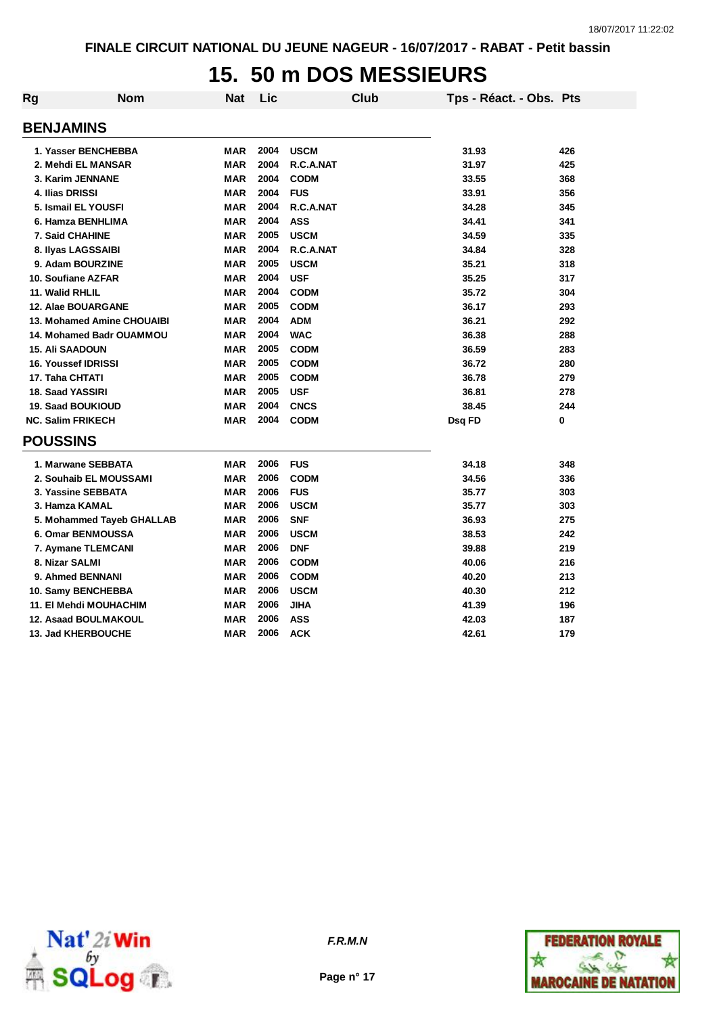### **15. 50 m DOS MESSIEURS**

| Rg | <b>Nom</b>                 | Nat        | Lic  |             | <b>Club</b> | Tps - Réact. - Obs. Pts |     |
|----|----------------------------|------------|------|-------------|-------------|-------------------------|-----|
|    | <b>BENJAMINS</b>           |            |      |             |             |                         |     |
|    | 1. Yasser BENCHEBBA        | <b>MAR</b> | 2004 | <b>USCM</b> |             | 31.93                   | 426 |
|    | 2. Mehdi EL MANSAR         | <b>MAR</b> | 2004 | R.C.A.NAT   |             | 31.97                   | 425 |
|    | 3. Karim JENNANE           | <b>MAR</b> | 2004 | <b>CODM</b> |             | 33.55                   | 368 |
|    | 4. Ilias DRISSI            | <b>MAR</b> | 2004 | <b>FUS</b>  |             | 33.91                   | 356 |
|    | 5. Ismail EL YOUSFI        | <b>MAR</b> | 2004 | R.C.A.NAT   |             | 34.28                   | 345 |
|    | 6. Hamza BENHLIMA          | <b>MAR</b> | 2004 | <b>ASS</b>  |             | 34.41                   | 341 |
|    | <b>7. Said CHAHINE</b>     | <b>MAR</b> | 2005 | <b>USCM</b> |             | 34.59                   | 335 |
|    | 8. Ilyas LAGSSAIBI         | <b>MAR</b> | 2004 | R.C.A.NAT   |             | 34.84                   | 328 |
|    | 9. Adam BOURZINE           | <b>MAR</b> | 2005 | <b>USCM</b> |             | 35.21                   | 318 |
|    | 10. Soufiane AZFAR         | <b>MAR</b> | 2004 | <b>USF</b>  |             | 35.25                   | 317 |
|    | 11. Walid RHLIL            | <b>MAR</b> | 2004 | <b>CODM</b> |             | 35.72                   | 304 |
|    | 12. Alae BOUARGANE         | <b>MAR</b> | 2005 | <b>CODM</b> |             | 36.17                   | 293 |
|    | 13. Mohamed Amine CHOUAIBI | <b>MAR</b> | 2004 | <b>ADM</b>  |             | 36.21                   | 292 |
|    | 14. Mohamed Badr OUAMMOU   | <b>MAR</b> | 2004 | <b>WAC</b>  |             | 36.38                   | 288 |
|    | <b>15. Ali SAADOUN</b>     | <b>MAR</b> | 2005 | <b>CODM</b> |             | 36.59                   | 283 |
|    | <b>16. Youssef IDRISSI</b> | <b>MAR</b> | 2005 | <b>CODM</b> |             | 36.72                   | 280 |
|    | 17. Taha CHTATI            | <b>MAR</b> | 2005 | <b>CODM</b> |             | 36.78                   | 279 |
|    | <b>18. Saad YASSIRI</b>    | <b>MAR</b> | 2005 | <b>USF</b>  |             | 36.81                   | 278 |
|    | <b>19. Saad BOUKIOUD</b>   | <b>MAR</b> | 2004 | <b>CNCS</b> |             | 38.45                   | 244 |
|    | <b>NC. Salim FRIKECH</b>   | <b>MAR</b> | 2004 | <b>CODM</b> |             | Dsq FD                  | 0   |
|    | <b>POUSSINS</b>            |            |      |             |             |                         |     |
|    | 1. Marwane SEBBATA         | <b>MAR</b> | 2006 | <b>FUS</b>  |             | 34.18                   | 348 |
|    | 2. Souhaib EL MOUSSAMI     | <b>MAR</b> | 2006 | <b>CODM</b> |             | 34.56                   | 336 |
|    | 3. Yassine SEBBATA         | <b>MAR</b> | 2006 | <b>FUS</b>  |             | 35.77                   | 303 |
|    | 3. Hamza KAMAL             | <b>MAR</b> | 2006 | <b>USCM</b> |             | 35.77                   | 303 |
|    | 5. Mohammed Tayeb GHALLAB  | <b>MAR</b> | 2006 | <b>SNF</b>  |             | 36.93                   | 275 |
|    | 6. Omar BENMOUSSA          | <b>MAR</b> | 2006 | <b>USCM</b> |             | 38.53                   | 242 |
|    | 7. Aymane TLEMCANI         | <b>MAR</b> | 2006 | <b>DNF</b>  |             | 39.88                   | 219 |
|    | 8. Nizar SALMI             | <b>MAR</b> | 2006 | <b>CODM</b> |             | 40.06                   | 216 |
|    | 9. Ahmed BENNANI           | <b>MAR</b> | 2006 | <b>CODM</b> |             | 40.20                   | 213 |
|    | 10. Samy BENCHEBBA         | <b>MAR</b> | 2006 | <b>USCM</b> |             | 40.30                   | 212 |
|    | 11. El Mehdi MOUHACHIM     | <b>MAR</b> | 2006 | <b>JIHA</b> |             | 41.39                   | 196 |
|    | 12. Asaad BOULMAKOUL       | <b>MAR</b> | 2006 | <b>ASS</b>  |             | 42.03                   | 187 |
|    | <b>13. Jad KHERBOUCHE</b>  | <b>MAR</b> | 2006 | <b>ACK</b>  |             | 42.61                   | 179 |



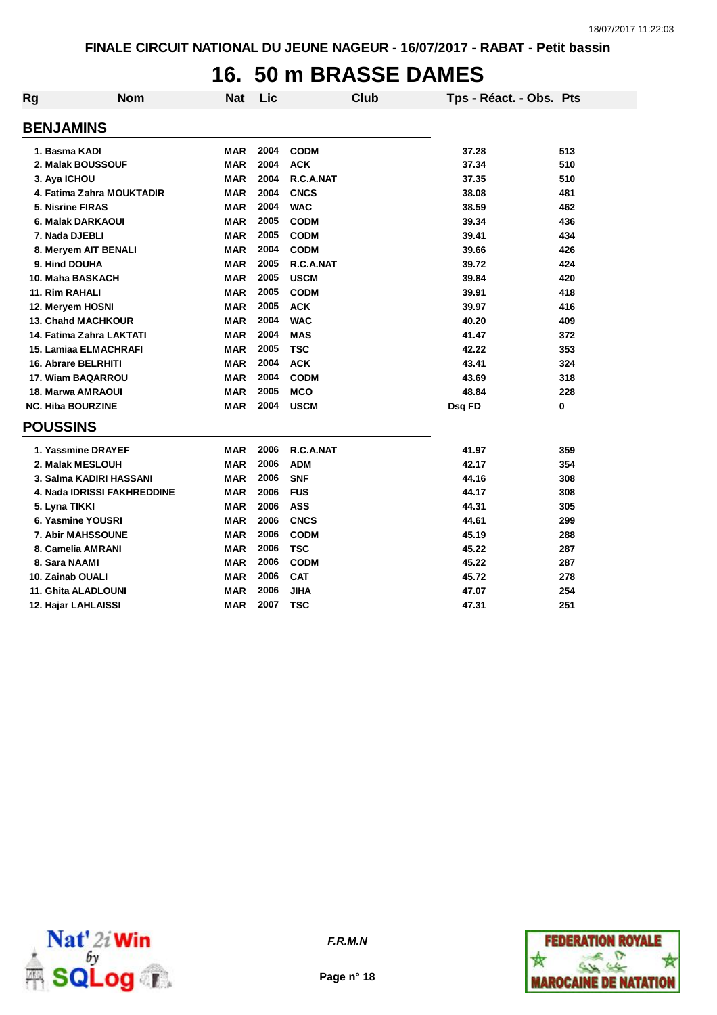### **16. 50 m BRASSE DAMES**

| Rg               | <b>Nom</b>                  | <b>Nat</b> | Lic  | <b>Club</b> | Tps - Réact. - Obs. Pts |     |
|------------------|-----------------------------|------------|------|-------------|-------------------------|-----|
| <b>BENJAMINS</b> |                             |            |      |             |                         |     |
|                  | 1. Basma KADI               | <b>MAR</b> | 2004 | <b>CODM</b> | 37.28                   | 513 |
|                  | 2. Malak BOUSSOUF           | <b>MAR</b> | 2004 | <b>ACK</b>  | 37.34                   | 510 |
| 3. Aya ICHOU     |                             | <b>MAR</b> | 2004 | R.C.A.NAT   | 37.35                   | 510 |
|                  | 4. Fatima Zahra MOUKTADIR   | <b>MAR</b> | 2004 | <b>CNCS</b> | 38.08                   | 481 |
|                  | 5. Nisrine FIRAS            | <b>MAR</b> | 2004 | <b>WAC</b>  | 38.59                   | 462 |
|                  | 6. Malak DARKAOUI           | <b>MAR</b> | 2005 | <b>CODM</b> | 39.34                   | 436 |
|                  | 7. Nada DJEBLI              | <b>MAR</b> | 2005 | <b>CODM</b> | 39.41                   | 434 |
|                  | 8. Meryem AIT BENALI        | <b>MAR</b> | 2004 | <b>CODM</b> | 39.66                   | 426 |
|                  | 9. Hind DOUHA               | <b>MAR</b> | 2005 | R.C.A.NAT   | 39.72                   | 424 |
|                  | 10. Maha BASKACH            | <b>MAR</b> | 2005 | <b>USCM</b> | 39.84                   | 420 |
|                  | 11. Rim RAHALI              | <b>MAR</b> | 2005 | <b>CODM</b> | 39.91                   | 418 |
|                  | 12. Meryem HOSNI            | <b>MAR</b> | 2005 | <b>ACK</b>  | 39.97                   | 416 |
|                  | <b>13. Chahd MACHKOUR</b>   | <b>MAR</b> | 2004 | <b>WAC</b>  | 40.20                   | 409 |
|                  | 14. Fatima Zahra LAKTATI    | <b>MAR</b> | 2004 | <b>MAS</b>  | 41.47                   | 372 |
|                  | 15. Lamiaa ELMACHRAFI       | <b>MAR</b> | 2005 | <b>TSC</b>  | 42.22                   | 353 |
|                  | 16. Abrare BELRHITI         | <b>MAR</b> | 2004 | <b>ACK</b>  | 43.41                   | 324 |
|                  | 17. Wiam BAQARROU           | <b>MAR</b> | 2004 | <b>CODM</b> | 43.69                   | 318 |
|                  | <b>18. Marwa AMRAOUI</b>    | <b>MAR</b> | 2005 | <b>MCO</b>  | 48.84                   | 228 |
|                  | <b>NC. Hiba BOURZINE</b>    | <b>MAR</b> | 2004 | <b>USCM</b> | Dsq FD                  | 0   |
| <b>POUSSINS</b>  |                             |            |      |             |                         |     |
|                  | 1. Yassmine DRAYEF          | MAR        | 2006 | R.C.A.NAT   | 41.97                   | 359 |
|                  | 2. Malak MESLOUH            | MAR        | 2006 | <b>ADM</b>  | 42.17                   | 354 |
|                  | 3. Salma KADIRI HASSANI     | MAR        | 2006 | <b>SNF</b>  | 44.16                   | 308 |
|                  | 4. Nada IDRISSI FAKHREDDINE | MAR        | 2006 | <b>FUS</b>  | 44.17                   | 308 |
| 5. Lyna TIKKI    |                             | <b>MAR</b> | 2006 | <b>ASS</b>  | 44.31                   | 305 |
|                  | 6. Yasmine YOUSRI           | <b>MAR</b> | 2006 | <b>CNCS</b> | 44.61                   | 299 |
|                  | 7. Abir MAHSSOUNE           | <b>MAR</b> | 2006 | <b>CODM</b> | 45.19                   | 288 |
|                  | 8. Camelia AMRANI           | <b>MAR</b> | 2006 | <b>TSC</b>  | 45.22                   | 287 |
|                  | 8. Sara NAAMI               | <b>MAR</b> | 2006 | <b>CODM</b> | 45.22                   | 287 |
|                  | 10. Zainab OUALI            | <b>MAR</b> | 2006 | <b>CAT</b>  | 45.72                   | 278 |
|                  | 11. Ghita ALADLOUNI         | <b>MAR</b> | 2006 | <b>JIHA</b> | 47.07                   | 254 |
|                  | 12. Hajar LAHLAISSI         | <b>MAR</b> | 2007 | <b>TSC</b>  | 47.31                   | 251 |





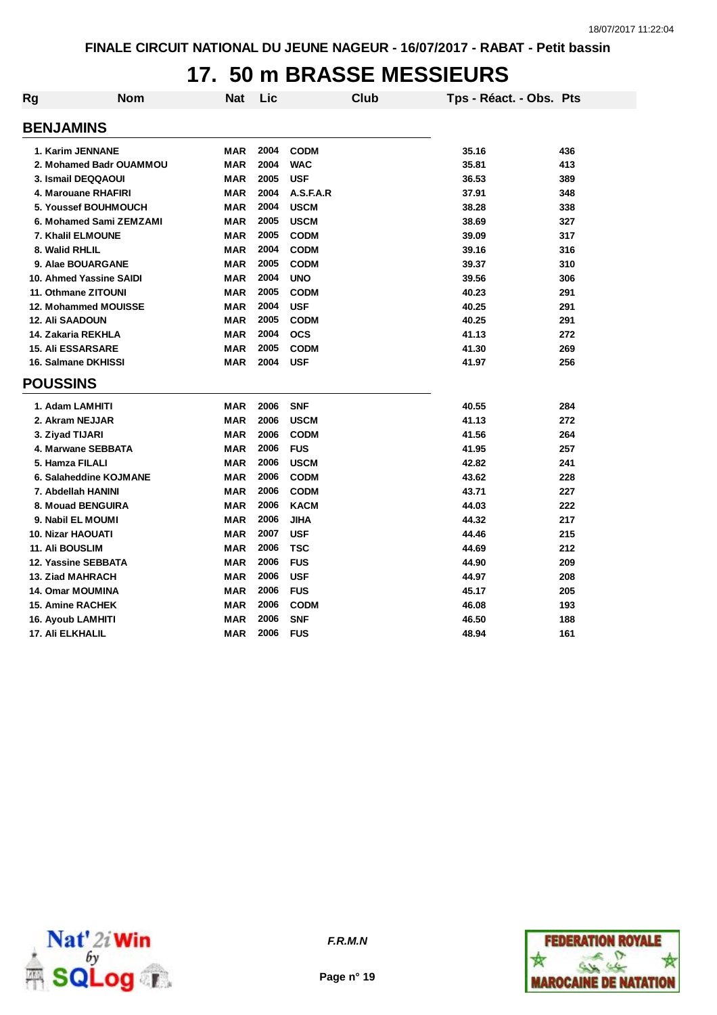### **17. 50 m BRASSE MESSIEURS**

| Rg | <b>Nom</b>               | <b>Nat</b> | Lic  | Club        | Tps - Réact. - Obs. Pts |     |
|----|--------------------------|------------|------|-------------|-------------------------|-----|
|    |                          |            |      |             |                         |     |
|    | <b>BENJAMINS</b>         |            |      |             |                         |     |
|    | 1. Karim JENNANE         | <b>MAR</b> | 2004 | <b>CODM</b> | 35.16                   | 436 |
|    | 2. Mohamed Badr OUAMMOU  | <b>MAR</b> | 2004 | <b>WAC</b>  | 35.81                   | 413 |
|    | 3. Ismail DEQQAOUI       | <b>MAR</b> | 2005 | <b>USF</b>  | 36.53                   | 389 |
|    | 4. Marouane RHAFIRI      | <b>MAR</b> | 2004 | A.S.F.A.R   | 37.91                   | 348 |
|    | 5. Youssef BOUHMOUCH     | <b>MAR</b> | 2004 | <b>USCM</b> | 38.28                   | 338 |
|    | 6. Mohamed Sami ZEMZAMI  | <b>MAR</b> | 2005 | <b>USCM</b> | 38.69                   | 327 |
|    | 7. Khalil ELMOUNE        | <b>MAR</b> | 2005 | <b>CODM</b> | 39.09                   | 317 |
|    | 8. Walid RHLIL           | <b>MAR</b> | 2004 | <b>CODM</b> | 39.16                   | 316 |
|    | 9. Alae BOUARGANE        | <b>MAR</b> | 2005 | <b>CODM</b> | 39.37                   | 310 |
|    | 10. Ahmed Yassine SAIDI  | <b>MAR</b> | 2004 | <b>UNO</b>  | 39.56                   | 306 |
|    | 11. Othmane ZITOUNI      | <b>MAR</b> | 2005 | <b>CODM</b> | 40.23                   | 291 |
|    | 12. Mohammed MOUISSE     | MAR        | 2004 | <b>USF</b>  | 40.25                   | 291 |
|    | <b>12. Ali SAADOUN</b>   | <b>MAR</b> | 2005 | <b>CODM</b> | 40.25                   | 291 |
|    | 14. Zakaria REKHLA       | <b>MAR</b> | 2004 | <b>OCS</b>  | 41.13                   | 272 |
|    | <b>15. Ali ESSARSARE</b> | <b>MAR</b> | 2005 | <b>CODM</b> | 41.30                   | 269 |
|    | 16. Salmane DKHISSI      | <b>MAR</b> | 2004 | <b>USF</b>  | 41.97                   | 256 |
|    | <b>POUSSINS</b>          |            |      |             |                         |     |
|    | 1. Adam LAMHITI          | <b>MAR</b> | 2006 | <b>SNF</b>  | 40.55                   | 284 |
|    | 2. Akram NEJJAR          | <b>MAR</b> | 2006 | <b>USCM</b> | 41.13                   | 272 |
|    | 3. Ziyad TIJARI          | <b>MAR</b> | 2006 | <b>CODM</b> | 41.56                   | 264 |
|    | 4. Marwane SEBBATA       | <b>MAR</b> | 2006 | <b>FUS</b>  | 41.95                   | 257 |
|    | 5. Hamza FILALI          | <b>MAR</b> | 2006 | <b>USCM</b> | 42.82                   | 241 |
|    | 6. Salaheddine KOJMANE   | <b>MAR</b> | 2006 | <b>CODM</b> | 43.62                   | 228 |
|    | 7. Abdellah HANINI       | <b>MAR</b> | 2006 | <b>CODM</b> | 43.71                   | 227 |
|    | 8. Mouad BENGUIRA        | <b>MAR</b> | 2006 | <b>KACM</b> | 44.03                   | 222 |
|    | 9. Nabil EL MOUMI        | <b>MAR</b> | 2006 | <b>JIHA</b> | 44.32                   | 217 |
|    | <b>10. Nizar HAOUATI</b> | <b>MAR</b> | 2007 | <b>USF</b>  | 44.46                   | 215 |
|    | <b>11. Ali BOUSLIM</b>   | <b>MAR</b> | 2006 | <b>TSC</b>  | 44.69                   | 212 |
|    | 12. Yassine SEBBATA      | <b>MAR</b> | 2006 | <b>FUS</b>  | 44.90                   | 209 |
|    | <b>13. Ziad MAHRACH</b>  | <b>MAR</b> | 2006 | <b>USF</b>  | 44.97                   | 208 |
|    | 14. Omar MOUMINA         | <b>MAR</b> | 2006 | <b>FUS</b>  | 45.17                   | 205 |
|    | <b>15. Amine RACHEK</b>  | <b>MAR</b> | 2006 | <b>CODM</b> | 46.08                   | 193 |
|    | 16. Ayoub LAMHITI        | MAR        | 2006 | <b>SNF</b>  | 46.50                   | 188 |
|    | 17. Ali ELKHALIL         | <b>MAR</b> | 2006 | <b>FUS</b>  | 48.94                   | 161 |





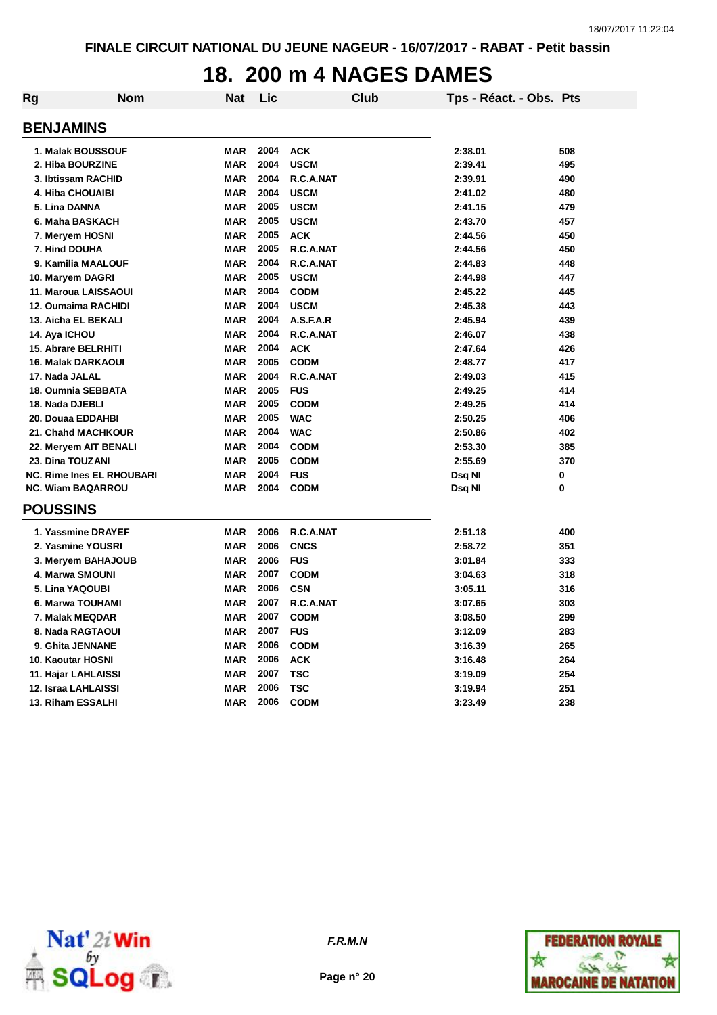#### **18. 200 m 4 NAGES DAMES**

| Rg               | <b>Nom</b>                       | <b>Nat</b> | Lic  |             | Club | Tps - Réact. - Obs. Pts |     |
|------------------|----------------------------------|------------|------|-------------|------|-------------------------|-----|
| <b>BENJAMINS</b> |                                  |            |      |             |      |                         |     |
|                  | 1. Malak BOUSSOUF                | <b>MAR</b> | 2004 | <b>ACK</b>  |      | 2:38.01                 | 508 |
|                  | 2. Hiba BOURZINE                 | <b>MAR</b> | 2004 | <b>USCM</b> |      | 2:39.41                 | 495 |
|                  | 3. Ibtissam RACHID               | <b>MAR</b> | 2004 | R.C.A.NAT   |      | 2:39.91                 | 490 |
|                  | <b>4. Hiba CHOUAIBI</b>          | <b>MAR</b> | 2004 | <b>USCM</b> |      | 2:41.02                 | 480 |
| 5. Lina DANNA    |                                  | <b>MAR</b> | 2005 | <b>USCM</b> |      | 2:41.15                 | 479 |
|                  | 6. Maha BASKACH                  | <b>MAR</b> | 2005 | <b>USCM</b> |      | 2:43.70                 | 457 |
|                  | 7. Meryem HOSNI                  | <b>MAR</b> | 2005 | <b>ACK</b>  |      | 2:44.56                 | 450 |
| 7. Hind DOUHA    |                                  | <b>MAR</b> | 2005 | R.C.A.NAT   |      | 2:44.56                 | 450 |
|                  | 9. Kamilia MAALOUF               | <b>MAR</b> | 2004 | R.C.A.NAT   |      | 2:44.83                 | 448 |
|                  | 10. Maryem DAGRI                 | <b>MAR</b> | 2005 | <b>USCM</b> |      | 2:44.98                 | 447 |
|                  | 11. Maroua LAISSAOUI             | <b>MAR</b> | 2004 | <b>CODM</b> |      | 2:45.22                 | 445 |
|                  | <b>12. Oumaima RACHIDI</b>       | <b>MAR</b> | 2004 | <b>USCM</b> |      | 2:45.38                 | 443 |
|                  | 13. Aicha EL BEKALI              | <b>MAR</b> | 2004 | A.S.F.A.R   |      | 2:45.94                 | 439 |
| 14. Aya ICHOU    |                                  | <b>MAR</b> | 2004 | R.C.A.NAT   |      | 2:46.07                 | 438 |
|                  | <b>15. Abrare BELRHITI</b>       | <b>MAR</b> | 2004 | <b>ACK</b>  |      | 2:47.64                 | 426 |
|                  | <b>16. Malak DARKAOUI</b>        | <b>MAR</b> | 2005 | <b>CODM</b> |      | 2:48.77                 | 417 |
| 17. Nada JALAL   |                                  | <b>MAR</b> | 2004 | R.C.A.NAT   |      | 2:49.03                 | 415 |
|                  | 18. Oumnia SEBBATA               | <b>MAR</b> | 2005 | <b>FUS</b>  |      | 2:49.25                 | 414 |
| 18. Nada DJEBLI  |                                  | <b>MAR</b> | 2005 | <b>CODM</b> |      | 2:49.25                 | 414 |
|                  | 20. Douaa EDDAHBI                | <b>MAR</b> | 2005 | <b>WAC</b>  |      | 2:50.25                 | 406 |
|                  | 21. Chahd MACHKOUR               | <b>MAR</b> | 2004 | <b>WAC</b>  |      | 2:50.86                 | 402 |
|                  | 22. Meryem AIT BENALI            | <b>MAR</b> | 2004 | <b>CODM</b> |      | 2:53.30                 | 385 |
|                  | 23. Dina TOUZANI                 | <b>MAR</b> | 2005 | <b>CODM</b> |      | 2:55.69                 | 370 |
|                  | <b>NC. Rime Ines EL RHOUBARI</b> | <b>MAR</b> | 2004 | <b>FUS</b>  |      | Dsq NI                  | 0   |
|                  | <b>NC. Wiam BAQARROU</b>         | <b>MAR</b> | 2004 | <b>CODM</b> |      | Dsq NI                  | 0   |
| <b>POUSSINS</b>  |                                  |            |      |             |      |                         |     |
|                  | 1. Yassmine DRAYEF               | <b>MAR</b> | 2006 | R.C.A.NAT   |      | 2:51.18                 | 400 |
|                  | 2. Yasmine YOUSRI                | <b>MAR</b> | 2006 | <b>CNCS</b> |      | 2:58.72                 | 351 |
|                  | 3. Meryem BAHAJOUB               | <b>MAR</b> | 2006 | <b>FUS</b>  |      | 3:01.84                 | 333 |
|                  | 4. Marwa SMOUNI                  | <b>MAR</b> | 2007 | <b>CODM</b> |      | 3:04.63                 | 318 |
|                  | 5. Lina YAQOUBI                  | <b>MAR</b> | 2006 | <b>CSN</b>  |      | 3:05.11                 | 316 |
|                  | 6. Marwa TOUHAMI                 | <b>MAR</b> | 2007 | R.C.A.NAT   |      | 3:07.65                 | 303 |
|                  | 7. Malak MEQDAR                  | <b>MAR</b> | 2007 | <b>CODM</b> |      | 3:08.50                 | 299 |
|                  | 8. Nada RAGTAOUI                 | <b>MAR</b> | 2007 | <b>FUS</b>  |      | 3:12.09                 | 283 |
|                  | 9. Ghita JENNANE                 | <b>MAR</b> | 2006 | <b>CODM</b> |      | 3:16.39                 | 265 |
|                  | 10. Kaoutar HOSNI                | <b>MAR</b> | 2006 | <b>ACK</b>  |      | 3:16.48                 | 264 |
|                  | 11. Hajar LAHLAISSI              | <b>MAR</b> | 2007 | <b>TSC</b>  |      | 3:19.09                 | 254 |
|                  | 12. Israa LAHLAISSI              | <b>MAR</b> | 2006 | <b>TSC</b>  |      | 3:19.94                 | 251 |
|                  | 13. Riham ESSALHI                | <b>MAR</b> | 2006 | <b>CODM</b> |      | 3:23.49                 | 238 |



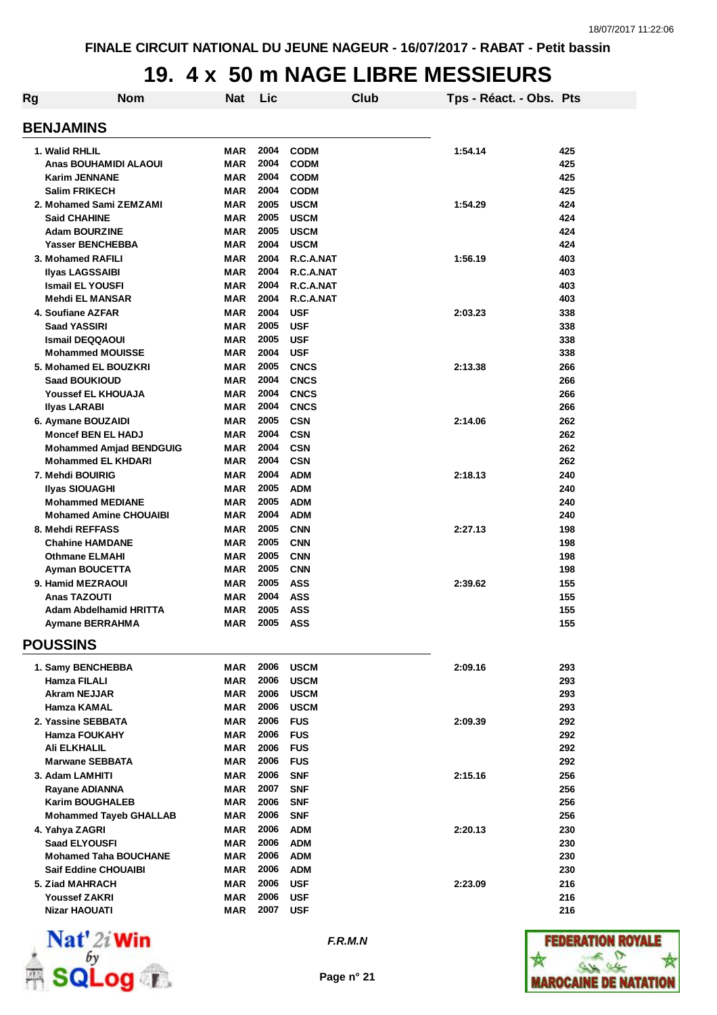## **19. 4 x 50 m NAGE LIBRE MESSIEURS**

| Rg | <b>Nom</b>                                        | Nat               | Lic          |                            | Club | Tps - Réact. - Obs. Pts |            |
|----|---------------------------------------------------|-------------------|--------------|----------------------------|------|-------------------------|------------|
|    | <b>BENJAMINS</b>                                  |                   |              |                            |      |                         |            |
|    | 1. Walid RHLIL                                    | <b>MAR</b>        | 2004         | <b>CODM</b>                |      | 1:54.14                 | 425        |
|    | Anas BOUHAMIDI ALAOUI                             | <b>MAR</b>        | 2004         | <b>CODM</b>                |      |                         | 425        |
|    | <b>Karim JENNANE</b>                              | <b>MAR</b>        | 2004         | <b>CODM</b>                |      |                         | 425        |
|    | <b>Salim FRIKECH</b>                              | MAR               | 2004         | <b>CODM</b>                |      |                         | 425        |
|    | 2. Mohamed Sami ZEMZAMI                           | MAR               | 2005         | <b>USCM</b>                |      | 1:54.29                 | 424        |
|    | <b>Said CHAHINE</b>                               | MAR               | 2005         | <b>USCM</b>                |      |                         | 424        |
|    | <b>Adam BOURZINE</b>                              | <b>MAR</b>        | 2005         | <b>USCM</b>                |      |                         | 424        |
|    | <b>Yasser BENCHEBBA</b>                           | <b>MAR</b>        | 2004         | <b>USCM</b>                |      |                         | 424        |
|    | 3. Mohamed RAFILI                                 | <b>MAR</b>        | 2004         | R.C.A.NAT                  |      | 1:56.19                 | 403        |
|    | <b>Ilyas LAGSSAIBI</b>                            | MAR               | 2004         | R.C.A.NAT                  |      |                         | 403        |
|    | <b>Ismail EL YOUSFI</b>                           | <b>MAR</b>        | 2004         | R.C.A.NAT                  |      |                         | 403        |
|    | <b>Mehdi EL MANSAR</b>                            | <b>MAR</b>        | 2004         | R.C.A.NAT                  |      |                         | 403        |
|    | 4. Soufiane AZFAR                                 | <b>MAR</b>        | 2004         | <b>USF</b>                 |      | 2:03.23                 | 338        |
|    | <b>Saad YASSIRI</b>                               | <b>MAR</b>        | 2005         | <b>USF</b>                 |      |                         | 338        |
|    | <b>Ismail DEQQAOUI</b>                            | <b>MAR</b>        | 2005         | <b>USF</b>                 |      |                         | 338        |
|    | <b>Mohammed MOUISSE</b>                           | <b>MAR</b>        | 2004         | <b>USF</b>                 |      |                         | 338        |
|    | 5. Mohamed EL BOUZKRI                             | <b>MAR</b>        | 2005         | <b>CNCS</b>                |      | 2:13.38                 | 266        |
|    |                                                   | <b>MAR</b>        | 2004         |                            |      |                         | 266        |
|    | <b>Saad BOUKIOUD</b><br><b>Youssef EL KHOUAJA</b> | MAR               | 2004         | <b>CNCS</b><br><b>CNCS</b> |      |                         | 266        |
|    |                                                   |                   | 2004         |                            |      |                         | 266        |
|    | <b>Ilyas LARABI</b>                               | MAR               |              | <b>CNCS</b>                |      |                         |            |
|    | 6. Aymane BOUZAIDI                                | <b>MAR</b>        | 2005         | <b>CSN</b>                 |      | 2:14.06                 | 262        |
|    | <b>Moncef BEN EL HADJ</b>                         | MAR               | 2004         | <b>CSN</b>                 |      |                         | 262        |
|    | <b>Mohammed Amjad BENDGUIG</b>                    | MAR<br><b>MAR</b> | 2004<br>2004 | <b>CSN</b>                 |      |                         | 262<br>262 |
|    | <b>Mohammed EL KHDARI</b>                         |                   |              | <b>CSN</b>                 |      |                         |            |
|    | 7. Mehdi BOUIRIG                                  | <b>MAR</b>        | 2004         | <b>ADM</b>                 |      | 2:18.13                 | 240        |
|    | <b>Ilyas SIOUAGHI</b>                             | <b>MAR</b>        | 2005         | <b>ADM</b>                 |      |                         | 240        |
|    | <b>Mohammed MEDIANE</b>                           | MAR               | 2005         | <b>ADM</b>                 |      |                         | 240        |
|    | <b>Mohamed Amine CHOUAIBI</b>                     | MAR               | 2004         | <b>ADM</b>                 |      |                         | 240        |
|    | 8. Mehdi REFFASS                                  | MAR               | 2005         | <b>CNN</b>                 |      | 2:27.13                 | 198        |
|    | <b>Chahine HAMDANE</b>                            | <b>MAR</b>        | 2005         | <b>CNN</b>                 |      |                         | 198        |
|    | <b>Othmane ELMAHI</b>                             | MAR               | 2005         | <b>CNN</b>                 |      |                         | 198        |
|    | <b>Ayman BOUCETTA</b>                             | <b>MAR</b>        | 2005         | <b>CNN</b>                 |      |                         | 198        |
|    | 9. Hamid MEZRAOUI                                 | <b>MAR</b>        | 2005         | ASS                        |      | 2:39.62                 | 155        |
|    | Anas TAZOUTI                                      | <b>MAR</b>        | 2004         | <b>ASS</b>                 |      |                         | 155        |
|    | Adam Abdelhamid HRITTA                            | MAR               | 2005         | <b>ASS</b>                 |      |                         | 155        |
|    | <b>Aymane BERRAHMA</b>                            | <b>MAR</b>        | 2005         | ASS                        |      |                         | 155        |
|    | <b>POUSSINS</b>                                   |                   |              |                            |      |                         |            |
|    | 1. Samy BENCHEBBA                                 | MAR               | 2006         | <b>USCM</b>                |      | 2:09.16                 | 293        |
|    | Hamza FILALI                                      | MAR               | 2006         | <b>USCM</b>                |      |                         | 293        |
|    | <b>Akram NEJJAR</b>                               | <b>MAR</b>        | 2006         | <b>USCM</b>                |      |                         | 293        |
|    | Hamza KAMAL                                       | MAR               | 2006         | <b>USCM</b>                |      |                         | 293        |
|    | 2. Yassine SEBBATA                                | <b>MAR</b>        | 2006         | <b>FUS</b>                 |      | 2:09.39                 | 292        |
|    | <b>Hamza FOUKAHY</b>                              | MAR               | 2006         | <b>FUS</b>                 |      |                         | 292        |
|    | <b>Ali ELKHALIL</b>                               | MAR               | 2006         | <b>FUS</b>                 |      |                         | 292        |
|    | <b>Marwane SEBBATA</b>                            | <b>MAR</b>        | 2006         | <b>FUS</b>                 |      |                         | 292        |
|    | 3. Adam LAMHITI                                   | MAR               | 2006         | <b>SNF</b>                 |      | 2:15.16                 | 256        |
|    | <b>Rayane ADIANNA</b>                             | MAR               | 2007         | <b>SNF</b>                 |      |                         | 256        |
|    | <b>Karim BOUGHALEB</b>                            | MAR               | 2006         | <b>SNF</b>                 |      |                         | 256        |
|    | <b>Mohammed Tayeb GHALLAB</b>                     | MAR               | 2006         | <b>SNF</b>                 |      |                         | 256        |
|    | 4. Yahya ZAGRI                                    | <b>MAR</b>        | 2006         | <b>ADM</b>                 |      | 2:20.13                 | 230        |
|    | <b>Saad ELYOUSFI</b>                              | MAR               | 2006         | <b>ADM</b>                 |      |                         | 230        |
|    | <b>Mohamed Taha BOUCHANE</b>                      | MAR               | 2006         | <b>ADM</b>                 |      |                         | 230        |
|    | <b>Saif Eddine CHOUAIBI</b>                       | MAR               | 2006         | <b>ADM</b>                 |      |                         | 230        |
|    | 5. Ziad MAHRACH                                   | MAR               | 2006         | <b>USF</b>                 |      | 2:23.09                 | 216        |
|    | <b>Youssef ZAKRI</b>                              | MAR               | 2006         | <b>USF</b>                 |      |                         | 216        |
|    | <b>Nizar HAOUATI</b>                              | MAR               | 2007         | <b>USF</b>                 |      |                         | 216        |



**Page n° 21**

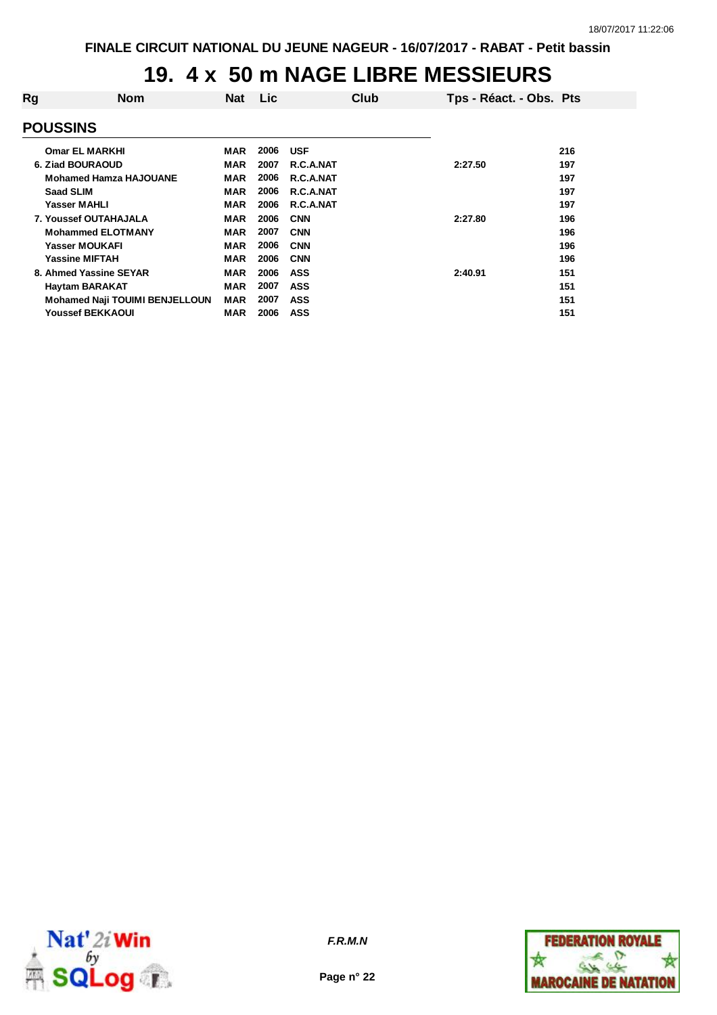#### **19. 4 x 50 m NAGE LIBRE MESSIEURS**

| Rg | <b>Nom</b>                            | <b>Nat</b> | <b>Lic</b> |            | Club | Tps - Réact. - Obs. Pts |     |
|----|---------------------------------------|------------|------------|------------|------|-------------------------|-----|
|    | <b>POUSSINS</b>                       |            |            |            |      |                         |     |
|    | <b>Omar EL MARKHI</b>                 | MAR        | 2006       | <b>USF</b> |      |                         | 216 |
|    | 6. Ziad BOURAOUD                      | MAR        | 2007       | R.C.A.NAT  |      | 2:27.50                 | 197 |
|    | <b>Mohamed Hamza HAJOUANE</b>         | <b>MAR</b> | 2006       | R.C.A.NAT  |      |                         | 197 |
|    | <b>Saad SLIM</b>                      | MAR        | 2006       | R.C.A.NAT  |      |                         | 197 |
|    | <b>Yasser MAHLI</b>                   | <b>MAR</b> | 2006       | R.C.A.NAT  |      |                         | 197 |
|    | 7. Youssef OUTAHAJALA                 | <b>MAR</b> | 2006       | <b>CNN</b> |      | 2:27.80                 | 196 |
|    | <b>Mohammed ELOTMANY</b>              | <b>MAR</b> | 2007       | <b>CNN</b> |      |                         | 196 |
|    | Yasser MOUKAFI                        | MAR        | 2006       | <b>CNN</b> |      |                         | 196 |
|    | <b>Yassine MIFTAH</b>                 | MAR        | 2006       | <b>CNN</b> |      |                         | 196 |
|    | 8. Ahmed Yassine SEYAR                | <b>MAR</b> | 2006       | <b>ASS</b> |      | 2:40.91                 | 151 |
|    | <b>Haytam BARAKAT</b>                 | <b>MAR</b> | 2007       | <b>ASS</b> |      |                         | 151 |
|    | <b>Mohamed Naji TOUIMI BENJELLOUN</b> | <b>MAR</b> | 2007       | <b>ASS</b> |      |                         | 151 |
|    | <b>Youssef BEKKAOUI</b>               | MAR        | 2006       | <b>ASS</b> |      |                         | 151 |



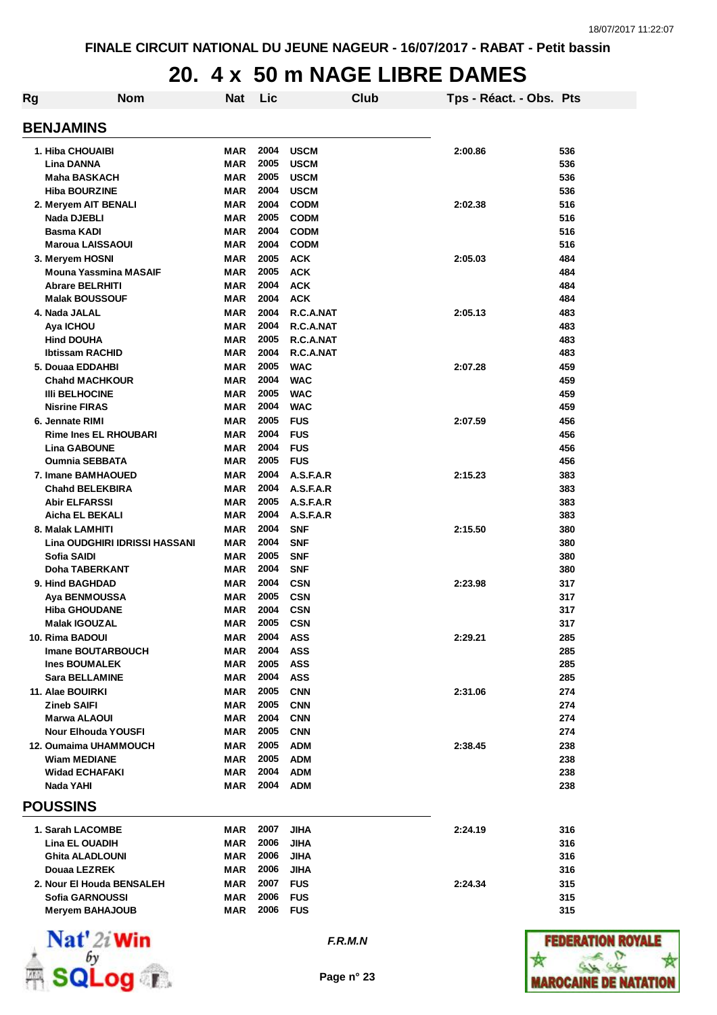### **20. 4 x 50 m NAGE LIBRE DAMES**

| Rg | <b>Nom</b>                                          | Nat                      | Lic          |                          | Club | Tps - Réact. - Obs. Pts |            |
|----|-----------------------------------------------------|--------------------------|--------------|--------------------------|------|-------------------------|------------|
|    | <b>BENJAMINS</b>                                    |                          |              |                          |      |                         |            |
|    | 1. Hiba CHOUAIBI                                    | <b>MAR</b>               | 2004         | <b>USCM</b>              |      | 2:00.86                 | 536        |
|    | Lina DANNA                                          | <b>MAR</b>               | 2005         | <b>USCM</b>              |      |                         | 536        |
|    | <b>Maha BASKACH</b>                                 | <b>MAR</b>               | 2005         | <b>USCM</b>              |      |                         | 536        |
|    | <b>Hiba BOURZINE</b>                                | <b>MAR</b>               | 2004         | <b>USCM</b>              |      |                         | 536        |
|    | 2. Meryem AIT BENALI                                | <b>MAR</b>               | 2004         | <b>CODM</b>              |      | 2:02.38                 | 516        |
|    | Nada DJEBLI                                         | MAR                      | 2005         | <b>CODM</b>              |      |                         | 516        |
|    | Basma KADI                                          | MAR                      | 2004         | <b>CODM</b>              |      |                         | 516        |
|    | <b>Maroua LAISSAOUI</b>                             | <b>MAR</b>               | 2004         | <b>CODM</b>              |      |                         | 516        |
|    | 3. Meryem HOSNI                                     | <b>MAR</b>               | 2005         | <b>ACK</b>               |      | 2:05.03                 | 484        |
|    | Mouna Yassmina MASAIF                               | <b>MAR</b>               | 2005         | <b>ACK</b>               |      |                         | 484        |
|    | <b>Abrare BELRHITI</b><br><b>Malak BOUSSOUF</b>     | MAR<br><b>MAR</b>        | 2004<br>2004 | <b>ACK</b><br><b>ACK</b> |      |                         | 484<br>484 |
|    | 4. Nada JALAL                                       | <b>MAR</b>               | 2004         | R.C.A.NAT                |      | 2:05.13                 | 483        |
|    | Aya ICHOU                                           | <b>MAR</b>               | 2004         | R.C.A.NAT                |      |                         | 483        |
|    | <b>Hind DOUHA</b>                                   | <b>MAR</b>               | 2005         | R.C.A.NAT                |      |                         | 483        |
|    | <b>Ibtissam RACHID</b>                              | <b>MAR</b>               | 2004         | R.C.A.NAT                |      |                         | 483        |
|    | 5. Douaa EDDAHBI                                    | <b>MAR</b>               | 2005         | <b>WAC</b>               |      | 2:07.28                 | 459        |
|    | <b>Chahd MACHKOUR</b>                               | <b>MAR</b>               | 2004         | <b>WAC</b>               |      |                         | 459        |
|    | <b>IIII BELHOCINE</b>                               | <b>MAR</b>               | 2005         | <b>WAC</b>               |      |                         | 459        |
|    | <b>Nisrine FIRAS</b>                                | <b>MAR</b>               | 2004         | <b>WAC</b>               |      |                         | 459        |
|    | 6. Jennate RIMI                                     | <b>MAR</b>               | 2005         | <b>FUS</b>               |      | 2:07.59                 | 456        |
|    | <b>Rime Ines EL RHOUBARI</b>                        | <b>MAR</b>               | 2004         | <b>FUS</b>               |      |                         | 456        |
|    | <b>Lina GABOUNE</b>                                 | <b>MAR</b>               | 2004         | <b>FUS</b>               |      |                         | 456        |
|    | <b>Oumnia SEBBATA</b>                               | MAR                      | 2005         | <b>FUS</b>               |      |                         | 456        |
|    | 7. Imane BAMHAOUED                                  | MAR                      | 2004         | A.S.F.A.R                |      | 2:15.23                 | 383        |
|    | <b>Chahd BELEKBIRA</b>                              | <b>MAR</b>               | 2004         | A.S.F.A.R                |      |                         | 383        |
|    | <b>Abir ELFARSSI</b>                                | MAR                      | 2005         | A.S.F.A.R                |      |                         | 383        |
|    | Aicha EL BEKALI                                     | MAR                      | 2004         | A.S.F.A.R                |      |                         | 383        |
|    | 8. Malak LAMHITI                                    | MAR                      | 2004         | <b>SNF</b>               |      | 2:15.50                 | 380        |
|    | Lina OUDGHIRI IDRISSI HASSANI<br><b>Sofia SAIDI</b> | <b>MAR</b><br><b>MAR</b> | 2004<br>2005 | <b>SNF</b>               |      |                         | 380        |
|    | Doha TABERKANT                                      | <b>MAR</b>               | 2004         | <b>SNF</b><br><b>SNF</b> |      |                         | 380<br>380 |
|    | 9. Hind BAGHDAD                                     | MAR                      | 2004         | <b>CSN</b>               |      | 2:23.98                 | 317        |
|    | Aya BENMOUSSA                                       | <b>MAR</b>               | 2005         | <b>CSN</b>               |      |                         | 317        |
|    | <b>Hiba GHOUDANE</b>                                | MAR                      | 2004         | <b>CSN</b>               |      |                         | 317        |
|    | <b>Malak IGOUZAL</b>                                | MAR                      | 2005         | <b>CSN</b>               |      |                         | 317        |
|    | 10. Rima BADOUI                                     | MAR                      | 2004         | ASS                      |      | 2:29.21                 | 285        |
|    | <b>Imane BOUTARBOUCH</b>                            | MAR                      | 2004         | <b>ASS</b>               |      |                         | 285        |
|    | <b>Ines BOUMALEK</b>                                | <b>MAR</b>               | 2005         | <b>ASS</b>               |      |                         | 285        |
|    | <b>Sara BELLAMINE</b>                               | MAR                      | 2004         | <b>ASS</b>               |      |                         | 285        |
|    | 11. Alae BOUIRKI                                    | <b>MAR</b>               | 2005         | <b>CNN</b>               |      | 2:31.06                 | 274        |
|    | <b>Zineb SAIFI</b>                                  | MAR                      | 2005         | <b>CNN</b>               |      |                         | 274        |
|    | <b>Marwa ALAOUI</b>                                 | <b>MAR</b>               | 2004         | <b>CNN</b>               |      |                         | 274        |
|    | <b>Nour Elhouda YOUSFI</b>                          | MAR                      | 2005         | <b>CNN</b>               |      |                         | 274        |
|    | 12. Oumaima UHAMMOUCH                               | MAR                      | 2005         | <b>ADM</b>               |      | 2:38.45                 | 238        |
|    | <b>Wiam MEDIANE</b>                                 | MAR                      | 2005         | <b>ADM</b>               |      |                         | 238        |
|    | <b>Widad ECHAFAKI</b>                               | MAR                      | 2004         | <b>ADM</b>               |      |                         | 238        |
|    | Nada YAHI                                           | MAR                      | 2004         | <b>ADM</b>               |      |                         | 238        |
|    | <b>POUSSINS</b>                                     |                          |              |                          |      |                         |            |
|    | 1. Sarah LACOMBE                                    | MAR                      | 2007         | <b>JIHA</b>              |      | 2:24.19                 | 316        |
|    | <b>Lina EL OUADIH</b>                               | MAR                      | 2006         | <b>JIHA</b>              |      |                         | 316        |
|    | <b>Ghita ALADLOUNI</b>                              | MAR                      | 2006         | <b>JIHA</b>              |      |                         | 316        |
|    | Douaa LEZREK                                        | MAR                      | 2006         | <b>JIHA</b>              |      |                         | 316        |
|    | 2. Nour El Houda BENSALEH                           | MAR                      | 2007         | <b>FUS</b>               |      | 2:24.34                 | 315        |
|    | Sofia GARNOUSSI                                     | <b>MAR</b>               | 2006         | <b>FUS</b>               |      |                         | 315        |
|    | <b>Meryem BAHAJOUB</b>                              | MAR                      | 2006         | <b>FUS</b>               |      |                         | 315        |
|    |                                                     |                          |              |                          |      |                         |            |



*F.R.M.N*